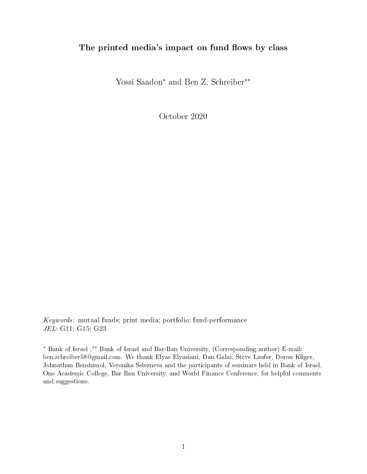## The printed media's impact on fund flows by class

Yossi Saadon<sup>∗</sup> and Ben Z. Schreiber∗∗

October 2020

Keywords: mutual funds; print media; portfolio; fund-performance JEL: G11; G15; G23

<sup>∗</sup> Bank of Israel ,∗∗ Bank of Israel and Bar-Ilan University, (Corresponding author) E-mail: ben.schreiber58@gmail.com. We thank Elyas Elyasiani, Dan Galai, Steve Laufer, Doron Kliger, Johnathan Benshimol, Veronika Selezneva and the participants of seminars held in Bank of Israel, Ono Academic College, Bar Ilan University, and World Finance Conference, for helpful comments and suggestions.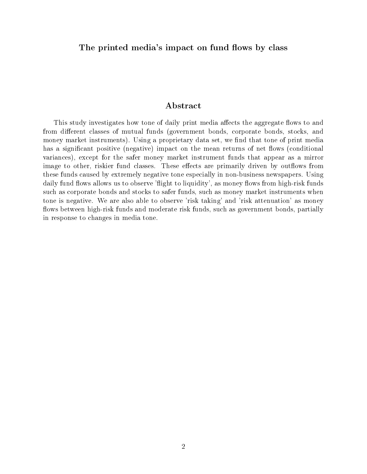## The printed media's impact on fund flows by class

## Abstract

This study investigates how tone of daily print media affects the aggregate flows to and from different classes of mutual funds (government bonds, corporate bonds, stocks, and money market instruments). Using a proprietary data set, we find that tone of print media has a significant positive (negative) impact on the mean returns of net flows (conditional variances), except for the safer money market instrument funds that appear as a mirror image to other, riskier fund classes. These effects are primarily driven by outflows from these funds caused by extremely negative tone especially in non-business newspapers. Using daily fund flows allows us to observe 'flight to liquidity', as money flows from high-risk funds such as corporate bonds and stocks to safer funds, such as money market instruments when tone is negative. We are also able to observe 'risk taking' and 'risk attenuation' as money flows between high-risk funds and moderate risk funds, such as government bonds, partially in response to changes in media tone.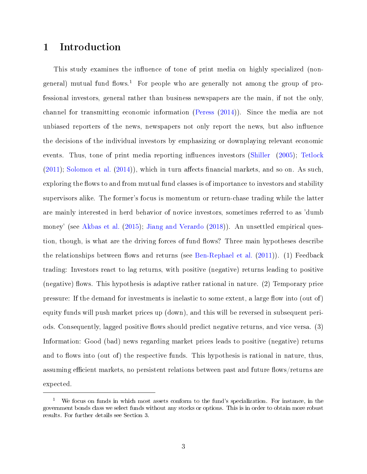# 1 Introduction

This study examines the influence of tone of print media on highly specialized (nongeneral) mutual fund flows.<sup>1</sup> For people who are generally not among the group of professional investors, general rather than business newspapers are the main, if not the only, channel for transmitting economic information [\(Peress](#page-50-0) [\(2014\)](#page-50-0)). Since the media are not unbiased reporters of the news, newspapers not only report the news, but also influence the decisions of the individual investors by emphasizing or downplaying relevant economic events. Thus, tone of print media reporting influences investors [\(Shiller](#page-50-1)  $(2005)$ ; [Tetlock](#page-50-2)  $(2011)$ ; [Solomon et al.](#page-50-3)  $(2014)$ , which in turn affects financial markets, and so on. As such, exploring the flows to and from mutual fund classes is of importance to investors and stability supervisors alike. The former's focus is momentum or return-chase trading while the latter are mainly interested in herd behavior of novice investors, sometimes referred to as 'dumb money' (see [Akbas et al.](#page-49-0) [\(2015\)](#page-49-0); [Jiang and Verardo](#page-50-4) [\(2018\)](#page-50-4)). An unsettled empirical question, though, is what are the driving forces of fund flows? Three main hypotheses describe the relationships between flows and returns (see [Ben-Rephael et al.](#page-49-1)  $(2011)$ ). (1) Feedback trading: Investors react to lag returns, with positive (negative) returns leading to positive (negative) flows. This hypothesis is adaptive rather rational in nature. (2) Temporary price pressure: If the demand for investments is inelastic to some extent, a large flow into (out of) equity funds will push market prices up (down), and this will be reversed in subsequent periods. Consequently, lagged positive flows should predict negative returns, and vice versa. (3) Information: Good (bad) news regarding market prices leads to positive (negative) returns and to flows into (out of) the respective funds. This hypothesis is rational in nature, thus, assuming efficient markets, no persistent relations between past and future flows/returns are expected.

<sup>&</sup>lt;sup>1</sup> We focus on funds in which most assets conform to the fund's specialization. For instance, in the government bonds class we select funds without any stocks or options. This is in order to obtain more robust results. For further details see Section 3.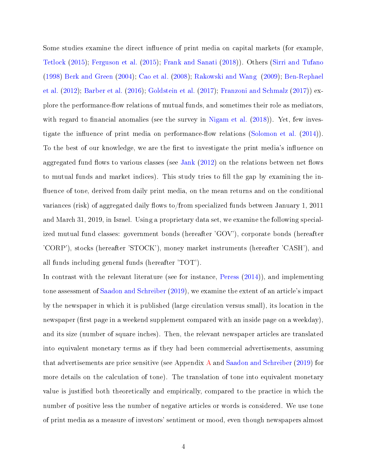Some studies examine the direct influence of print media on capital markets (for example, [Tetlock](#page-50-5) [\(2015\)](#page-50-5); [Ferguson et al.](#page-49-2) [\(2015\)](#page-49-2); [Frank and Sanati](#page-49-3) [\(2018\)](#page-49-3)). Others [\(Sirri and Tufano](#page-50-6) [\(1998\)](#page-50-6) [Berk and Green](#page-49-4) [\(2004\)](#page-49-4); [Cao et al.](#page-49-5) [\(2008\)](#page-49-5); [Rakowski and Wang](#page-50-7) [\(2009\)](#page-50-7); [Ben-Rephael](#page-49-6) [et al.](#page-49-6) [\(2012\)](#page-49-6); [Barber et al.](#page-49-7) [\(2016\)](#page-49-7); [Goldstein et al.](#page-50-8) [\(2017\)](#page-50-8); [Franzoni and Schmalz](#page-50-9) [\(2017\)](#page-50-9)) explore the performance-flow relations of mutual funds, and sometimes their role as mediators, with regard to financial anomalies (see the survey in [Nigam et al.](#page-50-10)  $(2018)$ ). Yet, few inves-tigate the influence of print media on performance-flow relations [\(Solomon et al.](#page-50-3)  $(2014)$ ). To the best of our knowledge, we are the first to investigate the print media's influence on aggregated fund flows to various classes (see [Jank](#page-50-11)  $(2012)$  on the relations between net flows to mutual funds and market indices). This study tries to fill the gap by examining the influence of tone, derived from daily print media, on the mean returns and on the conditional variances (risk) of aggregated daily flows to/from specialized funds between January 1, 2011 and March 31, 2019, in Israel. Using a proprietary data set, we examine the following specialized mutual fund classes: government bonds (hereafter 'GOV'), corporate bonds (hereafter 'CORP'), stocks (hereafter 'STOCK'), money market instruments (hereafter 'CASH'), and all funds including general funds (hereafter 'TOT').

In contrast with the relevant literature (see for instance, [Peress](#page-50-0) [\(2014\)](#page-50-0)), and implementing tone assessment of [Saadon and Schreiber](#page-50-12) [\(2019\)](#page-50-12), we examine the extent of an article's impact by the newspaper in which it is published (large circulation versus small), its location in the newspaper (first page in a weekend supplement compared with an inside page on a weekday). and its size (number of square inches). Then, the relevant newspaper articles are translated into equivalent monetary terms as if they had been commercial advertisements, assuming that advertisements are price sensitive (see Appendix [A](#page-52-0) and [Saadon and Schreiber](#page-50-12) [\(2019\)](#page-50-12) for more details on the calculation of tone). The translation of tone into equivalent monetary value is justified both theoretically and empirically, compared to the practice in which the number of positive less the number of negative articles or words is considered. We use tone of print media as a measure of investors' sentiment or mood, even though newspapers almost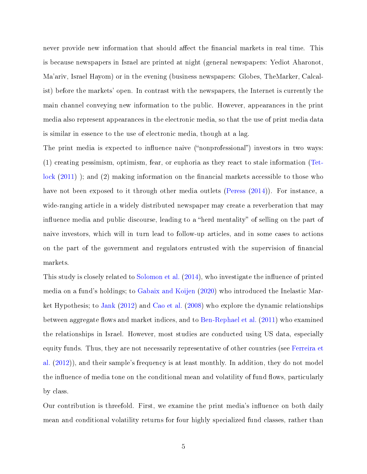never provide new information that should affect the financial markets in real time. This is because newspapers in Israel are printed at night (general newspapers: Yediot Aharonot, Ma'ariv, Israel Hayom) or in the evening (business newspapers: Globes, TheMarker, Calcalist) before the markets' open. In contrast with the newspapers, the Internet is currently the main channel conveying new information to the public. However, appearances in the print media also represent appearances in the electronic media, so that the use of print media data is similar in essence to the use of electronic media, though at a lag.

The print media is expected to influence naive ("nonprofessional") investors in two ways: (1) creating pessimism, optimism, fear, or euphoria as they react to stale information [\(Tet](#page-50-2)[lock](#page-50-2)  $(2011)$ ; and  $(2)$  making information on the financial markets accessible to those who have not been exposed to it through other media outlets [\(Peress](#page-50-0) [\(2014\)](#page-50-0)). For instance, a wide-ranging article in a widely distributed newspaper may create a reverberation that may influence media and public discourse, leading to a "herd mentality" of selling on the part of naive investors, which will in turn lead to follow-up articles, and in some cases to actions on the part of the government and regulators entrusted with the supervision of nancial markets.

This study is closely related to [Solomon et al.](#page-50-3)  $(2014)$ , who investigate the influence of printed media on a fund's holdings; to [Gabaix and Koijen](#page-50-13) [\(2020\)](#page-50-13) who introduced the Inelastic Market Hypothesis; to [Jank](#page-50-11) [\(2012\)](#page-50-11) and [Cao et al.](#page-49-5) [\(2008\)](#page-49-5) who explore the dynamic relationships between aggregate flows and market indices, and to [Ben-Rephael et al.](#page-49-1)  $(2011)$  who examined the relationships in Israel. However, most studies are conducted using US data, especially equity funds. Thus, they are not necessarily representative of other countries (see [Ferreira et](#page-49-8) [al.](#page-49-8) [\(2012\)](#page-49-8)), and their sample's frequency is at least monthly. In addition, they do not model the influence of media tone on the conditional mean and volatility of fund flows, particularly by class.

Our contribution is threefold. First, we examine the print media's influence on both daily mean and conditional volatility returns for four highly specialized fund classes, rather than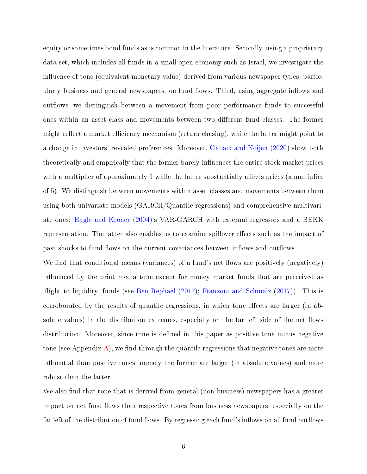equity or sometimes bond funds as is common in the literature. Secondly, using a proprietary data set, which includes all funds in a small open economy such as Israel, we investigate the influence of tone (equivalent monetary value) derived from various newspaper types, particularly business and general newspapers, on fund flows. Third, using aggregate inflows and outflows, we distinguish between a movement from poor performance funds to successful ones within an asset class and movements between two different fund classes. The former might reflect a market efficiency mechanism (return chasing), while the latter might point to a change in investors' revealed preferences. Moreover, [Gabaix and Koijen](#page-50-13) [\(2020\)](#page-50-13) show both theoretically and empirically that the former barely influences the entire stock market prices with a multiplier of approximately 1 while the latter substantially affects prices (a multiplier of 5). We distinguish between movements within asset classes and movements between them using both univariate models (GARCH/Quantile regressions) and comprehensive multivariate ones: [Engle and Kroner](#page-49-9) [\(2004\)](#page-49-9)`s VAR-GARCH with external regressors and a BEKK representation. The latter also enables us to examine spillover effects such as the impact of past shocks to fund flows on the current covariances between inflows and outflows.

We find that conditional means (variances) of a fund's net flows are positively (negatively) influenced by the print media tone except for money market funds that are perceived as 'flight to liquidity' funds (see [Ben-Rephael](#page-49-10)  $(2017)$ ; [Franzoni and Schmalz](#page-50-9)  $(2017)$ ). This is corroborated by the results of quantile regressions, in which tone effects are larger (in absolute values) in the distribution extremes, especially on the far left side of the net flows distribution. Moreover, since tone is defined in this paper as positive tone minus negative tone (see Appendix [A\)](#page-52-0), we find through the quantile regressions that negative tones are more influential than positive tones, namely the former are larger (in absolute values) and more robust than the latter.

We also find that tone that is derived from general (non-business) newspapers has a greater impact on net fund flows than respective tones from business newspapers, especially on the far left of the distribution of fund flows. By regressing each fund's inflows on all fund outflows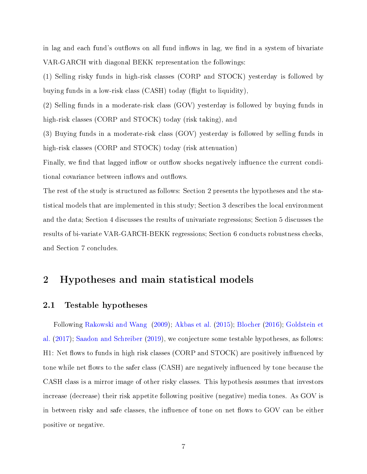in lag and each fund's outflows on all fund inflows in lag, we find in a system of bivariate VAR-GARCH with diagonal BEKK representation the followings:

(1) Selling risky funds in high-risk classes (CORP and STOCK) yesterday is followed by buying funds in a low-risk class  $(CASH)$  today (flight to liquidity),

(2) Selling funds in a moderate-risk class (GOV) yesterday is followed by buying funds in high-risk classes (CORP and STOCK) today (risk taking), and

(3) Buying funds in a moderate-risk class (GOV) yesterday is followed by selling funds in high-risk classes (CORP and STOCK) today (risk attenuation)

Finally, we find that lagged inflow or outflow shocks negatively influence the current conditional covariance between inflows and outflows.

The rest of the study is structured as follows: Section 2 presents the hypotheses and the statistical models that are implemented in this study; Section 3 describes the local environment and the data; Section 4 discusses the results of univariate regressions; Section 5 discusses the results of bi-variate VAR-GARCH-BEKK regressions; Section 6 conducts robustness checks, and Section 7 concludes.

# 2 Hypotheses and main statistical models

## 2.1 Testable hypotheses

Following [Rakowski and Wang](#page-50-7) [\(2009\)](#page-50-7); [Akbas et al.](#page-49-0) [\(2015\)](#page-49-0); [Blocher](#page-49-11) [\(2016\)](#page-49-11); [Goldstein et](#page-50-8) [al.](#page-50-8) [\(2017\)](#page-50-8); [Saadon and Schreiber](#page-50-12) [\(2019\)](#page-50-12), we conjecture some testable hypotheses, as follows: H1: Net flows to funds in high risk classes (CORP and  $STOCK$ ) are positively influenced by tone while net flows to the safer class (CASH) are negatively influenced by tone because the CASH class is a mirror image of other risky classes. This hypothesis assumes that investors increase (decrease) their risk appetite following positive (negative) media tones. As GOV is in between risky and safe classes, the influence of tone on net flows to GOV can be either positive or negative.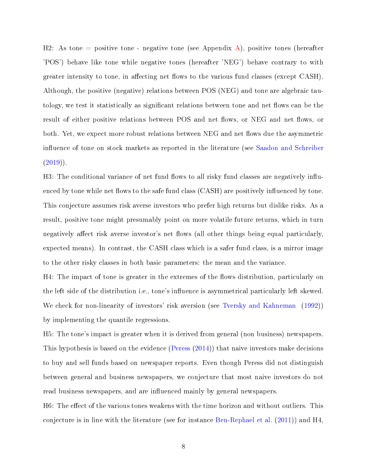H2: As tone = positive tone - negative tone (see Appendix [A\)](#page-52-0), positive tones (hereafter 'POS') behave like tone while negative tones (hereafter 'NEG') behave contrary to with greater intensity to tone, in affecting net flows to the various fund classes (except CASH). Although, the positive (negative) relations between POS (NEG) and tone are algebraic tautology, we test it statistically as significant relations between tone and net flows can be the result of either positive relations between POS and net flows, or NEG and net flows, or both. Yet, we expect more robust relations between NEG and net flows due the asymmetric influence of tone on stock markets as reported in the literature (see [Saadon and Schreiber](#page-50-12)  $(2019)$ .

H3: The conditional variance of net fund flows to all risky fund classes are negatively influenced by tone while net flows to the safe fund class (CASH) are positively influenced by tone. This conjecture assumes risk averse investors who prefer high returns but dislike risks. As a result, positive tone might presumably point on more volatile future returns, which in turn negatively affect risk averse investor's net flows (all other things being equal particularly, expected means). In contrast, the CASH class which is a safer fund class, is a mirror image to the other risky classes in both basic parameters: the mean and the variance.

H4: The impact of tone is greater in the extremes of the flows distribution, particularly on the left side of the distribution i.e., tone's influence is asymmetrical particularly left skewed. We check for non-linearity of investors' risk aversion (see [Tversky and Kahneman](#page-51-0) [\(1992\)](#page-51-0)) by implementing the quantile regressions.

H5: The tone's impact is greater when it is derived from general (non business) newspapers. This hypothesis is based on the evidence [\(Peress](#page-50-0) [\(2014\)](#page-50-0)) that naive investors make decisions to buy and sell funds based on newspaper reports. Even though Peress did not distinguish between general and business newspapers, we conjecture that most naive investors do not read business newspapers, and are influenced mainly by general newspapers.

H6: The effect of the various tones weakens with the time horizon and without outliers. This conjecture is in line with the literature (see for instance [Ben-Rephael et al.](#page-49-1) [\(2011\)](#page-49-1)) and H4,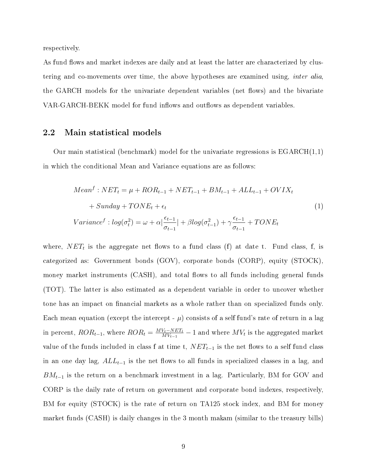respectively.

As fund flows and market indexes are daily and at least the latter are characterized by clustering and co-movements over time, the above hypotheses are examined using, inter alia, the GARCH models for the univariate dependent variables (net flows) and the bivariate VAR-GARCH-BEKK model for fund inflows and outflows as dependent variables.

## 2.2 Main statistical models

Our main statistical (benchmark) model for the univariate regressions is  $EGARCH(1,1)$ in which the conditional Mean and Variance equations are as follows:

<span id="page-8-0"></span>
$$
Meanf : NETt = \mu + RORt-1 + NETt-1 + BMt-1 + ALLt-1 + OVIXt
$$
  
+ Sunday + TONE<sub>t</sub> +  $\epsilon_t$   

$$
Variancef : log(\sigmat2) = \omega + \alpha \left| \frac{\epsilon_{t-1}}{\sigma_{t-1}} \right| + \beta log(\sigmat-12) + \gamma \frac{\epsilon_{t-1}}{\sigma_{t-1}} + TONEt
$$
 (1)

where,  $NET_t$  is the aggregate net flows to a fund class (f) at date t. Fund class, f, is categorized as: Government bonds (GOV), corporate bonds (CORP), equity (STOCK), money market instruments (CASH), and total flows to all funds including general funds (TOT). The latter is also estimated as a dependent variable in order to uncover whether tone has an impact on financial markets as a whole rather than on specialized funds only. Each mean equation (except the intercept -  $\mu$ ) consists of a self fund's rate of return in a lag in percent,  $ROR_{t-1}$ , where  $ROR_t = \frac{MV_t - NET_t}{MV_{t-1}}$  $\frac{W_t - NET_t}{MV_{t-1}} - 1$  and where  $MV_t$  is the aggregated market value of the funds included in class f at time t,  $NET_{t-1}$  is the net flows to a self fund class in an one day lag,  $ALL_{t-1}$  is the net flows to all funds in specialized classes in a lag, and  $BM_{t-1}$  is the return on a benchmark investment in a lag. Particularly, BM for GOV and CORP is the daily rate of return on government and corporate bond indexes, respectively, BM for equity (STOCK) is the rate of return on TA125 stock index, and BM for money market funds (CASH) is daily changes in the 3 month makam (similar to the treasury bills)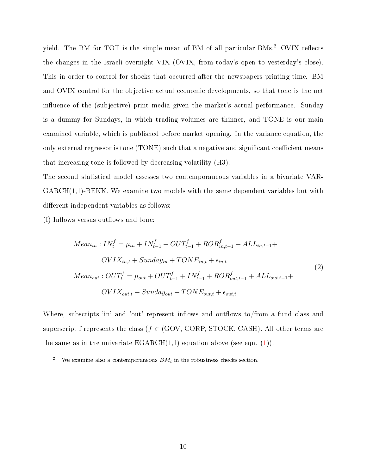yield. The BM for TOT is the simple mean of BM of all particular BMs.<sup>2</sup> OVIX reflects the changes in the Israeli overnight VIX (OVIX, from today's open to yesterday's close). This in order to control for shocks that occurred after the newspapers printing time. BM and OVIX control for the objective actual economic developments, so that tone is the net influence of the (subjective) print media given the market's actual performance. Sunday is a dummy for Sundays, in which trading volumes are thinner, and TONE is our main examined variable, which is published before market opening. In the variance equation, the only external regressor is tone  $(TONE)$  such that a negative and significant coefficient means that increasing tone is followed by decreasing volatility (H3).

The second statistical model assesses two contemporaneous variables in a bivariate VAR-GARCH(1,1)-BEKK. We examine two models with the same dependent variables but with different independent variables as follows:

(I) Inflows versus outflows and tone:

<span id="page-9-0"></span>
$$
Mean_{in}: IN_{t}^{f} = \mu_{in} + IN_{t-1}^{f} + OUT_{t-1}^{f} + ROR_{in,t-1}^{f} + ALL_{in,t-1} +
$$
  
\n
$$
OVIX_{in,t} + Sunday_{in} + TOR_{in,t} + \epsilon_{in,t}
$$
  
\n
$$
Mean_{out}: OUT_{t}^{f} = \mu_{out} + OUT_{t-1}^{f} + IN_{t-1}^{f} + ROR_{out,t-1}^{f} + ALL_{out,t-1} +
$$
  
\n
$$
OVIX_{out,t} + Sunday_{out} + TONE_{out,t} + \epsilon_{out,t}
$$
\n(2)

Where, subscripts 'in' and 'out' represent inflows and outflows to/from a fund class and superscript f represents the class ( $f \in (GOV, CORP, STOCK, CASH)$ ). All other terms are the same as in the univariate  $EGARCH(1,1)$  equation above (see eqn. [\(1\)](#page-8-0)).

<sup>&</sup>lt;sup>2</sup> We examine also a contemporaneous  $BM_t$  in the robustness checks section.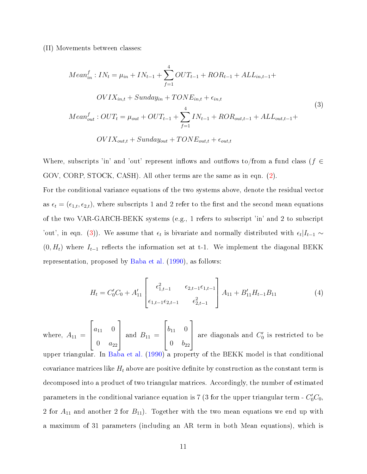(II) Movements between classes:

<span id="page-10-0"></span>
$$
Mean_{in}^{f}: IN_{t} = \mu_{in} + IN_{t-1} + \sum_{f=1}^{4} OUT_{t-1} + ROR_{t-1} + ALL_{in,t-1} + \frac{OVIX_{in,t} + Sunday_{in} + TONE_{in,t} + \epsilon_{in,t}}{OVIX_{in,t} + Out + OUT_{t-1} + \sum_{f=1}^{4} IN_{t-1} + ROR_{out,t-1} + ALL_{out,t-1} + \frac{OVIX_{out,t} + Sunday_{out} + TONE_{out,t} + \epsilon_{out,t}}{OVIX_{out,t} + Sunday_{out} + TONE_{out,t} + \epsilon_{out,t}}
$$
\n(3)

Where, subscripts 'in' and 'out' represent inflows and outflows to/from a fund class ( $f \in$ GOV, CORP, STOCK, CASH). All other terms are the same as in eqn. [\(2\)](#page-9-0).

For the conditional variance equations of the two systems above, denote the residual vector as  $\epsilon_t = (\epsilon_{1,t}, \epsilon_{2,t})$ , where subscripts 1 and 2 refer to the first and the second mean equations of the two VAR-GARCH-BEKK systems (e.g., 1 refers to subscript 'in' and 2 to subscript 'out', in eqn. [\(3\)](#page-10-0)). We assume that  $\epsilon_t$  is bivariate and normally distributed with  $\epsilon_t|I_{t-1} \sim$  $(0, H_t)$  where  $I_{t-1}$  reflects the information set at t-1. We implement the diagonal BEKK representation, proposed by [Baba et al.](#page-49-12) [\(1990\)](#page-49-12), as follows:

<span id="page-10-1"></span>
$$
H_t = C'_0 C_0 + A'_{11} \begin{bmatrix} \epsilon_{1,t-1}^2 & \epsilon_{2,t-1} \epsilon_{1,t-1} \\ \epsilon_{1,t-1} \epsilon_{2,t-1} & \epsilon_{2,t-1}^2 \end{bmatrix} A_{11} + B'_{11} H_{t-1} B_{11}
$$
 (4)

where,  $A_{11} =$  $\sqrt{ }$  $\overline{\phantom{a}}$  $a_{11}$  0 0  $a_{22}$ 1  $\overline{\phantom{a}}$ and  $B_{11} =$  $\lceil$  $\overline{\phantom{a}}$  $b_{11}$  0 0  $b_{22}$ 1 are diagonals and  $C'_0$  is restricted to be upper triangular. In [Baba et al.](#page-49-12) [\(1990\)](#page-49-12) a property of the BEKK model is that conditional covariance matrices like  $H_t$  above are positive definite by construction as the constant term is decomposed into a product of two triangular matrices. Accordingly, the number of estimated parameters in the conditional variance equation is 7 (3 for the upper triangular term -  $C_0^\prime C_0 ,$ 2 for  $A_{11}$  and another 2 for  $B_{11}$ ). Together with the two mean equations we end up with a maximum of 31 parameters (including an AR term in both Mean equations), which is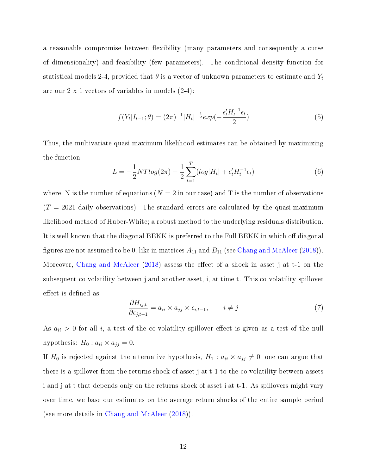a reasonable compromise between flexibility (many parameters and consequently a curse of dimensionality) and feasibility (few parameters). The conditional density function for statistical models 2-4, provided that  $\theta$  is a vector of unknown parameters to estimate and  $Y_t$ are our 2 x 1 vectors of variables in models (2-4):

$$
f(Y_t|I_{t-1};\theta) = (2\pi)^{-1}|H_t|^{-\frac{1}{2}}exp(-\frac{\epsilon'_t H_t^{-1}\epsilon_t}{2})
$$
\n(5)

Thus, the multivariate quasi-maximum-likelihood estimates can be obtained by maximizing the function:

$$
L = -\frac{1}{2}NTlog(2\pi) - \frac{1}{2}\sum_{t=1}^{T} (log|H_t| + \epsilon'_t H_t^{-1} \epsilon_t)
$$
\n(6)

where, N is the number of equations  $(N = 2$  in our case) and T is the number of observations  $(T = 2021)$  daily observations). The standard errors are calculated by the quasi-maximum likelihood method of Huber-White; a robust method to the underlying residuals distribution. It is well known that the diagonal BEKK is preferred to the Full BEKK in which off diagonal figures are not assumed to be 0, like in matrices  $A_{11}$  and  $B_{11}$  (see [Chang and McAleer](#page-49-13) [\(2018\)](#page-49-13)). Moreover, [Chang and McAleer](#page-49-13)  $(2018)$  assess the effect of a shock in asset j at t-1 on the subsequent co-volatility between j and another asset, i, at time t. This co-volatility spillover effect is defined as:

$$
\frac{\partial H_{ij,t}}{\partial \epsilon_{j,t-1}} = a_{ii} \times a_{jj} \times \epsilon_{i,t-1}, \qquad i \neq j \tag{7}
$$

As  $a_{ii} > 0$  for all i, a test of the co-volatility spillover effect is given as a test of the null hypothesis:  $H_0: a_{ii} \times a_{jj} = 0.$ 

If H<sub>0</sub> is rejected against the alternative hypothesis,  $H_1: a_{ii} \times a_{jj} \neq 0$ , one can argue that there is a spillover from the returns shock of asset j at t-1 to the co-volatility between assets i and j at t that depends only on the returns shock of asset i at t-1. As spillovers might vary over time, we base our estimates on the average return shocks of the entire sample period (see more details in [Chang and McAleer](#page-49-13) [\(2018\)](#page-49-13)).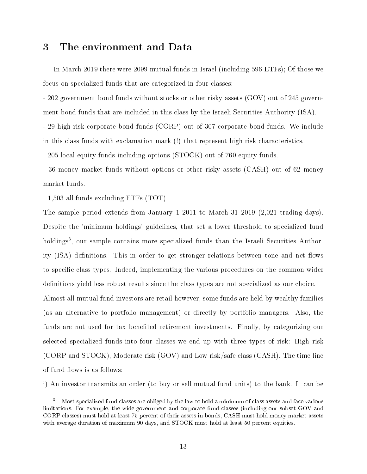# 3 The environment and Data

In March 2019 there were 2099 mutual funds in Israel (including 596 ETFs); Of those we focus on specialized funds that are categorized in four classes:

- 202 government bond funds without stocks or other risky assets (GOV) out of 245 government bond funds that are included in this class by the Israeli Securities Authority (ISA). - 29 high risk corporate bond funds (CORP) out of 307 corporate bond funds. We include in this class funds with exclamation mark (!) that represent high risk characteristics.

- 205 local equity funds including options (STOCK) out of 760 equity funds.

- 36 money market funds without options or other risky assets (CASH) out of 62 money market funds.

- 1,503 all funds excluding ETFs (TOT)

The sample period extends from January 1 2011 to March 31 2019 (2,021 trading days). Despite the 'minimum holdings' guidelines, that set a lower threshold to specialized fund holdings<sup>3</sup>, our sample contains more specialized funds than the Israeli Securities Authority (ISA) definitions. This in order to get stronger relations between tone and net flows to specific class types. Indeed, implementing the various procedures on the common wider definitions yield less robust results since the class types are not specialized as our choice.

Almost all mutual fund investors are retail however, some funds are held by wealthy families (as an alternative to portfolio management) or directly by portfolio managers. Also, the funds are not used for tax benefited retirement investments. Finally, by categorizing our selected specialized funds into four classes we end up with three types of risk: High risk (CORP and STOCK), Moderate risk (GOV) and Low risk/safe class (CASH). The time line of fund flows is as follows:

i) An investor transmits an order (to buy or sell mutual fund units) to the bank. It can be

<sup>&</sup>lt;sup>3</sup> Most specialized fund classes are obliged by the law to hold a minimum of class assets and face various limitations. For example, the wide government and corporate fund classes (including our subset GOV and CORP classes) must hold at least 75 percent of their assets in bonds, CASH must hold money market assets with average duration of maximum 90 days, and STOCK must hold at least 50 percent equities.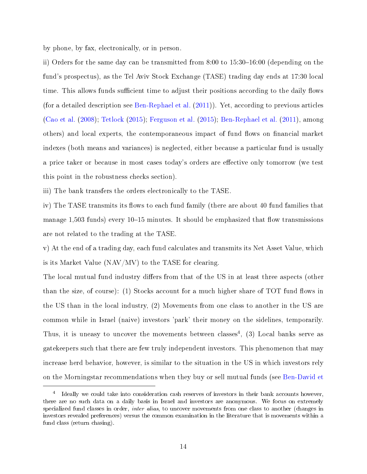by phone, by fax, electronically, or in person.

ii) Orders for the same day can be transmitted from  $8:00$  to  $15:30-16:00$  (depending on the fund's prospectus), as the Tel Aviv Stock Exchange (TASE) trading day ends at 17:30 local time. This allows funds sufficient time to adjust their positions according to the daily flows (for a detailed description see [Ben-Rephael et al.](#page-49-1) [\(2011\)](#page-49-1)). Yet, according to previous articles [\(Cao et al.](#page-49-5) [\(2008\)](#page-49-5); [Tetlock](#page-50-5) [\(2015\)](#page-50-5); [Ferguson et al.](#page-49-2) [\(2015\)](#page-49-2); [Ben-Rephael et al.](#page-49-1) [\(2011\)](#page-49-1), among others) and local experts, the contemporaneous impact of fund flows on financial market indexes (both means and variances) is neglected, either because a particular fund is usually a price taker or because in most cases today's orders are effective only tomorrow (we test this point in the robustness checks section).

iii) The bank transfers the orders electronically to the TASE.

iv) The TASE transmits its flows to each fund family (there are about 40 fund families that manage 1,503 funds) every  $10-15$  minutes. It should be emphasized that flow transmissions are not related to the trading at the TASE.

v) At the end of a trading day, each fund calculates and transmits its Net Asset Value, which is its Market Value (NAV/MV) to the TASE for clearing.

The local mutual fund industry differs from that of the US in at least three aspects (other than the size, of course): (1) Stocks account for a much higher share of  $TOT$  fund flows in the US than in the local industry, (2) Movements from one class to another in the US are common while in Israel (naive) investors 'park' their money on the sidelines, temporarily. Thus, it is uneasy to uncover the movements between classes<sup>4</sup>, (3) Local banks serve as gatekeepers such that there are few truly independent investors. This phenomenon that may increase herd behavior, however, is similar to the situation in the US in which investors rely on the Morningstar recommendations when they buy or sell mutual funds (see [Ben-David et](#page-49-14)

<sup>&</sup>lt;sup>4</sup> [Ideally we could take into consideration cash reserves of investors in their bank accounts however,](#page-49-14) [there are no such data on a daily basis in Israel and investors are anonymous. We focus on extremely](#page-49-14) specialized fund classes in order, *inter alias*, to uncover movements from one class to another (changes in [investors revealed preferences\) versus the common examination in the literature that is movements within a](#page-49-14) [fund class \(return chasing\).](#page-49-14)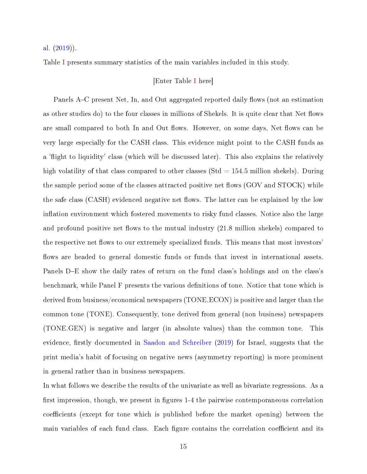[al.](#page-49-14) [\(2019\)](#page-49-14)).

Table [I](#page-33-0) presents summary statistics of the main variables included in this study.

## [Enter Table [I](#page-33-0) here]

Panels A–C present Net, In, and Out aggregated reported daily flows (not an estimation as other studies do) to the four classes in millions of Shekels. It is quite clear that Net flows are small compared to both In and Out flows. However, on some days, Net flows can be very large especially for the CASH class. This evidence might point to the CASH funds as a 'flight to liquidity' class (which will be discussed later). This also explains the relatively high volatility of that class compared to other classes ( $Std = 154.5$  million shekels). During the sample period some of the classes attracted positive net flows (GOV and STOCK) while the safe class (CASH) evidenced negative net flows. The latter can be explained by the low inflation environment which fostered movements to risky fund classes. Notice also the large and profound positive net flows to the mutual industry  $(21.8 \text{ million sheets})$  compared to the respective net flows to our extremely specialized funds. This means that most investors' flows are headed to general domestic funds or funds that invest in international assets. Panels D–E show the daily rates of return on the fund class's holdings and on the class's benchmark, while Panel F presents the various definitions of tone. Notice that tone which is derived from business/economical newspapers (TONE.ECON) is positive and larger than the common tone (TONE). Consequently, tone derived from general (non business) newspapers (TONE.GEN) is negative and larger (in absolute values) than the common tone. This evidence, firstly documented in [Saadon and Schreiber](#page-50-12)  $(2019)$  for Israel, suggests that the print media's habit of focusing on negative news (asymmetry reporting) is more prominent in general rather than in business newspapers.

In what follows we describe the results of the univariate as well as bivariate regressions. As a first impression, though, we present in figures 1-4 the pairwise contemporaneous correlation coefficients (except for tone which is published before the market opening) between the main variables of each fund class. Each figure contains the correlation coefficient and its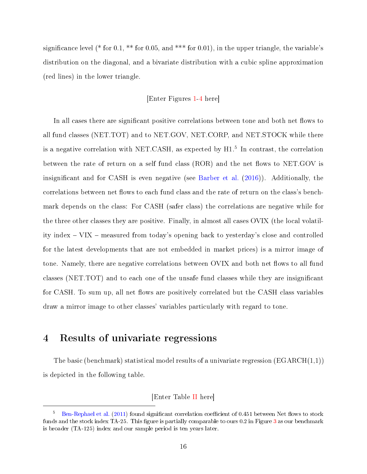significance level (\* for 0.1, \*\* for 0.05, and \*\*\* for 0.01), in the upper triangle, the variable's distribution on the diagonal, and a bivariate distribution with a cubic spline approximation (red lines) in the lower triangle.

## [Enter Figures [1](#page-28-0)[-4](#page-31-0) here]

In all cases there are significant positive correlations between tone and both net flows to all fund classes (NET.TOT) and to NET.GOV, NET.CORP, and NET.STOCK while there is a negative correlation with NET.CASH, as expected by H1.<sup>5</sup> In contrast, the correlation between the rate of return on a self fund class (ROR) and the net flows to NET.GOV is insignicant and for CASH is even negative (see [Barber et al.](#page-49-7) [\(2016\)](#page-49-7)). Additionally, the correlations between net flows to each fund class and the rate of return on the class's benchmark depends on the class: For CASH (safer class) the correlations are negative while for the three other classes they are positive. Finally, in almost all cases OVIX (the local volatility index  $\sim$  VIX  $\sim$  measured from today's opening back to yesterday's close and controlled for the latest developments that are not embedded in market prices) is a mirror image of tone. Namely, there are negative correlations between OVIX and both net flows to all fund classes (NET.TOT) and to each one of the unsafe fund classes while they are insignicant for CASH. To sum up, all net flows are positively correlated but the CASH class variables draw a mirror image to other classes' variables particularly with regard to tone.

# 4 Results of univariate regressions

The basic (benchmark) statistical model results of a univariate regression  $(\text{EGARCH}(1,1))$ is depicted in the following table.

[Enter Table [II](#page-34-0) here]

[Ben-Rephael et al.](#page-49-1) [\(2011\)](#page-49-1) found significant correlation coefficient of 0.451 between Net flows to stock funds and the stock index TA-25. This figure is partially comparable to ours 0.2 in Figure [3](#page-30-0) as our benchmark is broader (TA-125) index and our sample period is ten years later.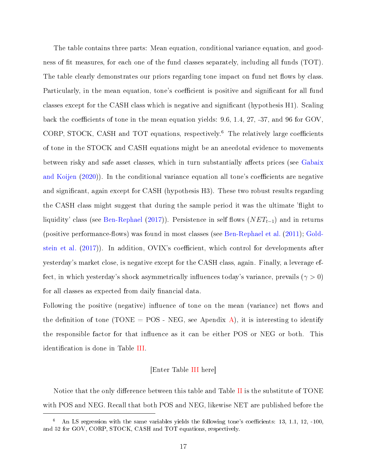The table contains three parts: Mean equation, conditional variance equation, and goodness of fit measures, for each one of the fund classes separately, including all funds (TOT). The table clearly demonstrates our priors regarding tone impact on fund net flows by class. Particularly, in the mean equation, tone's coefficient is positive and significant for all fund classes except for the CASH class which is negative and signicant (hypothesis H1). Scaling back the coefficients of tone in the mean equation yields:  $9.6, 1.4, 27, -37,$  and  $96$  for GOV, CORP, STOCK, CASH and TOT equations, respectively.<sup>6</sup> The relatively large coefficients of tone in the STOCK and CASH equations might be an anecdotal evidence to movements between risky and safe asset classes, which in turn substantially affects prices (see [Gabaix](#page-50-13) [and Koijen](#page-50-13)  $(2020)$ ). In the conditional variance equation all tone's coefficients are negative and significant, again except for CASH (hypothesis H3). These two robust results regarding the CASH class might suggest that during the sample period it was the ultimate 'flight to liquidity' class (see [Ben-Rephael](#page-49-10) [\(2017\)](#page-49-10)). Persistence in self flows  $(NET_{t-1})$  and in returns (positive performance-flows) was found in most classes (see [Ben-Rephael et al.](#page-49-1)  $(2011)$ ; [Gold](#page-50-8)[stein et al.](#page-50-8)  $(2017)$ ). In addition, OVIX's coefficient, which control for developments after yesterday's market close, is negative except for the CASH class, again. Finally, a leverage effect, in which yesterday's shock asymmetrically influences today's variance, prevails ( $\gamma > 0$ ) for all classes as expected from daily financial data.

Following the positive (negative) influence of tone on the mean (variance) net flows and the definition of tone (TONE = POS - NEG, see Apendix [A\)](#page-52-0), it is interesting to identify the responsible factor for that influence as it can be either POS or NEG or both. This identification is done in Table [III.](#page-35-0)

### [Enter Table [III](#page-35-0) here]

Notice that the only difference between this table and Table [II](#page-34-0) is the substitute of  $TONE$ with POS and NEG. Recall that both POS and NEG, likewise NET are published before the

An LS regression with the same variables yields the following tone's coefficients: 13, 1.1, 12, -100. and 52 for GOV, CORP, STOCK, CASH and TOT equations, respectively.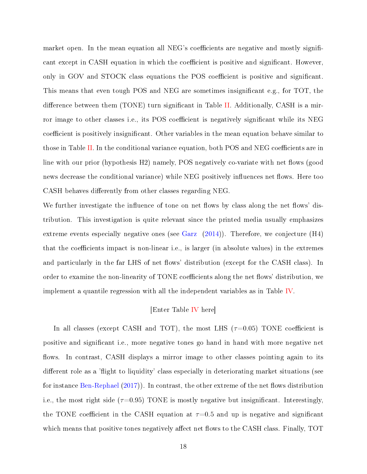market open. In the mean equation all NEG's coefficients are negative and mostly significant except in CASH equation in which the coefficient is positive and significant. However, only in GOV and STOCK class equations the POS coefficient is positive and significant. This means that even tough POS and NEG are sometimes insignificant e.g., for TOT, the difference between them (TONE) turn significant in Table [II.](#page-34-0) Additionally, CASH is a mirror image to other classes i.e., its POS coefficient is negatively significant while its NEG coefficient is positively insignificant. Other variables in the mean equation behave similar to those in Table [II.](#page-34-0) In the conditional variance equation, both POS and NEG coefficients are in line with our prior (hypothesis  $H2$ ) namely, POS negatively co-variate with net flows (good news decrease the conditional variance) while NEG positively influences net flows. Here too CASH behaves differently from other classes regarding NEG.

We further investigate the influence of tone on net flows by class along the net flows' distribution. This investigation is quite relevant since the printed media usually emphasizes extreme events especially negative ones (see [Garz](#page-50-14) [\(2014\)](#page-50-14)). Therefore, we conjecture (H4) that the coefficients impact is non-linear i.e., is larger (in absolute values) in the extremes and particularly in the far LHS of net flows' distribution (except for the CASH class). In order to examine the non-linearity of TONE coefficients along the net flows' distribution, we implement a quantile regression with all the independent variables as in Table [IV.](#page-36-0)

### [Enter Table [IV](#page-36-0) here]

In all classes (except CASH and TOT), the most LHS ( $\tau$ =0.05) TONE coefficient is positive and signicant i.e., more negative tones go hand in hand with more negative net flows. In contrast, CASH displays a mirror image to other classes pointing again to its different role as a 'flight to liquidity' class especially in deteriorating market situations (see for instance [Ben-Rephael](#page-49-10)  $(2017)$ ). In contrast, the other extreme of the net flows distribution i.e., the most right side  $(\tau=0.95)$  TONE is mostly negative but insignificant. Interestingly, the TONE coefficient in the CASH equation at  $\tau=0.5$  and up is negative and significant which means that positive tones negatively affect net flows to the CASH class. Finally, TOT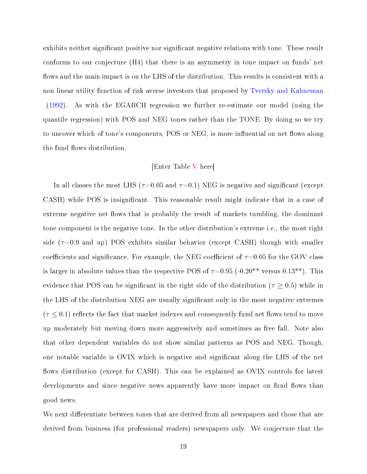exhibits neither significant positive nor significant negative relations with tone. These result conforms to our conjecture (H4) that there is an asymmetry in tone impact on funds' net flows and the main impact is on the LHS of the distribution. This results is consistent with a non linear utility function of risk averse investors that proposed by [Tversky and Kahneman](#page-51-0) [\(1992\)](#page-51-0). As with the EGARCH regression we further re-estimate our model (using the quantile regression) with POS and NEG tones rather than the TONE. By doing so we try to uncover which of tone's components, POS or NEG, is more influential on net flows along the fund flows distribution.

#### [Enter Table [V](#page-37-0) here]

In all classes the most LHS ( $\tau$ =0.05 and  $\tau$ =0.1) NEG is negative and significant (except CASH) while POS is insignificant. This reasonable result might indicate that in a case of extreme negative net flows that is probably the result of markets tumbling, the dominant tone component is the negative tone. In the other distribution's extreme i.e., the most right side  $(\tau=0.9$  and up) POS exhibits similar behavior (except CASH) though with smaller coefficients and significance. For example, the NEG coefficient of  $\tau$ =0.05 for the GOV class is larger in absolute values than the respective POS of  $\tau=0.95$  (-0.20<sup>\*\*</sup> versus 0.13<sup>\*\*</sup>). This evidence that POS can be significant in the right side of the distribution ( $\tau \geq 0.5$ ) while in the LHS of the distribution NEG are usually signicant only in the most negative extremes  $(\tau \leq 0.1)$  reflects the fact that market indexes and consequently fund net flows tend to move up moderately but moving down more aggressively and sometimes as free fall. Note also that other dependent variables do not show similar patterns as POS and NEG. Though, one notable variable is OVIX which is negative and signicant along the LHS of the net flows distribution (except for CASH). This can be explained as OVIX controls for latest developments and since negative news apparently have more impact on fund flows than good news.

We next differentiate between tones that are derived from all newspapers and those that are derived from business (for professional readers) newspapers only. We conjecture that the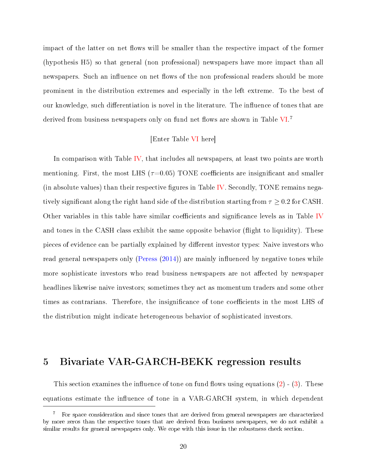impact of the latter on net flows will be smaller than the respective impact of the former (hypothesis H5) so that general (non professional) newspapers have more impact than all newspapers. Such an influence on net flows of the non professional readers should be more prominent in the distribution extremes and especially in the left extreme. To the best of our knowledge, such differentiation is novel in the literature. The influence of tones that are derived from business newspapers only on fund net flows are shown in Table [VI.](#page-38-0)<sup>7</sup>

### [Enter Table [VI](#page-38-0) here]

In comparison with Table [IV,](#page-36-0) that includes all newspapers, at least two points are worth mentioning. First, the most LHS ( $\tau$ =0.05) TONE coefficients are insignificant and smaller (in absolute values) than their respective figures in Table [IV.](#page-36-0) Secondly, TONE remains negatively significant along the right hand side of the distribution starting from  $\tau \geq 0.2$  for CASH. Other variables in this table have similar coefficients and significance levels as in Table [IV](#page-36-0) and tones in the CASH class exhibit the same opposite behavior (flight to liquidity). These pieces of evidence can be partially explained by different investor types: Naive investors who read general newspapers only [\(Peress](#page-50-0)  $(2014)$ ) are mainly influenced by negative tones while more sophisticate investors who read business newspapers are not affected by newspaper headlines likewise naive investors; sometimes they act as momentum traders and some other times as contrarians. Therefore, the insignificance of tone coefficients in the most LHS of the distribution might indicate heterogeneous behavior of sophisticated investors.

# 5 Bivariate VAR-GARCH-BEKK regression results

This section examines the influence of tone on fund flows using equations  $(2)$  -  $(3)$ . These equations estimate the influence of tone in a VAR-GARCH system, in which dependent

<sup>7</sup> For space consideration and since tones that are derived from general newspapers are characterized by more zeros than the respective tones that are derived from business newspapers, we do not exhibit a similar results for general newspapers only. We cope with this issue in the robustness check section.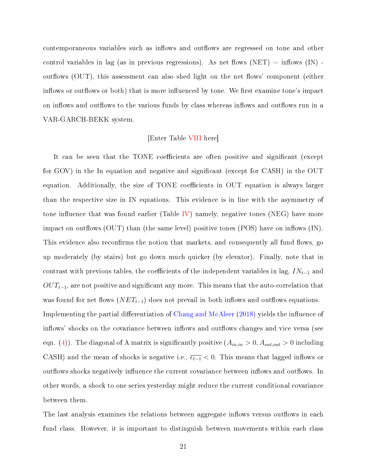contemporaneous variables such as inflows and outflows are regressed on tone and other control variables in lag (as in previous regressions). As net flows (NET) = inflows (IN) outflows (OUT), this assessment can also shed light on the net flows' component (either inflows or outflows or both) that is more influenced by tone. We first examine tone's impact on inflows and outflows to the various funds by class whereas inflows and outflows run in a VAR-GARCH-BEKK system.

### [Enter Table [VIII](#page-40-0) here]

It can be seen that the TONE coefficients are often positive and significant (except for GOV) in the In equation and negative and significant (except for CASH) in the OUT equation. Additionally, the size of TONE coefficients in OUT equation is always larger than the respective size in IN equations. This evidence is in line with the asymmetry of tone influence that was found earlier (Table [IV\)](#page-36-0) namely, negative tones (NEG) have more impact on outflows  $(OUT)$  than (the same level) positive tones  $(POS)$  have on inflows  $(IN)$ . This evidence also reconfirms the notion that markets, and consequently all fund flows, go up moderately (by stairs) but go down much quicker (by elevator). Finally, note that in contrast with previous tables, the coefficients of the independent variables in lag,  $IN_{t-1}$  and  $OUT_{t-1}$ , are not positive and significant any more. This means that the auto-correlation that was found for net flows ( $NET_{t-1}$ ) does not prevail in both inflows and outflows equations. Implementing the partial differentiation of [Chang and McAleer](#page-49-13) [\(2018\)](#page-49-13) yields the influence of inflows' shocks on the covariance between inflows and outflows changes and vice versa (see eqn. [\(4\)](#page-10-1)). The diagonal of A matrix is significantly positive  $(A_{in,in} > 0, A_{out,out} > 0$  including CASH) and the mean of shocks is negative i.e.,  $\overline{\epsilon_{t-1}}$  < 0. This means that lagged inflows or out flows shocks negatively influence the current covariance between inflows and outflows. In other words, a shock to one series yesterday might reduce the current conditional covariance between them.

The last analysis examines the relations between aggregate inflows versus outflows in each fund class. However, it is important to distinguish between movements within each class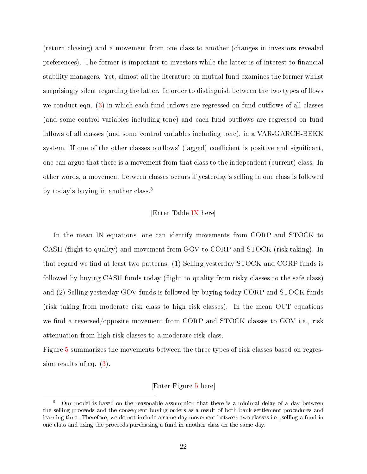(return chasing) and a movement from one class to another (changes in investors revealed preferences). The former is important to investors while the latter is of interest to financial stability managers. Yet, almost all the literature on mutual fund examines the former whilst surprisingly silent regarding the latter. In order to distinguish between the two types of flows we conduct eqn.  $(3)$  in which each fund inflows are regressed on fund outflows of all classes (and some control variables including tone) and each fund outflows are regressed on fund inflows of all classes (and some control variables including tone), in a VAR-GARCH-BEKK system. If one of the other classes outflows' (lagged) coefficient is positive and significant, one can argue that there is a movement from that class to the independent (current) class. In other words, a movement between classes occurs if yesterday's selling in one class is followed by today's buying in another class.<sup>8</sup>

### [Enter Table [IX](#page-41-0) here]

In the mean IN equations, one can identify movements from CORP and STOCK to CASH (flight to quality) and movement from GOV to CORP and STOCK (risk taking). In that regard we find at least two patterns: (1) Selling yesterday STOCK and CORP funds is followed by buying CASH funds today (flight to quality from risky classes to the safe class) and (2) Selling yesterday GOV funds is followed by buying today CORP and STOCK funds (risk taking from moderate risk class to high risk classes). In the mean OUT equations we find a reversed/opposite movement from CORP and STOCK classes to GOV i.e., risk attenuation from high risk classes to a moderate risk class.

Figure [5](#page-32-0) summarizes the movements between the three types of risk classes based on regression results of eq. [\(3\)](#page-10-0).

## [Enter Figure [5](#page-32-0) here]

<sup>8</sup> Our model is based on the reasonable assumption that there is a minimal delay of a day between the selling proceeds and the consequent buying orders as a result of both bank settlement procedures and learning time. Therefore, we do not include a same day movement between two classes i.e., selling a fund in one class and using the proceeds purchasing a fund in another class on the same day.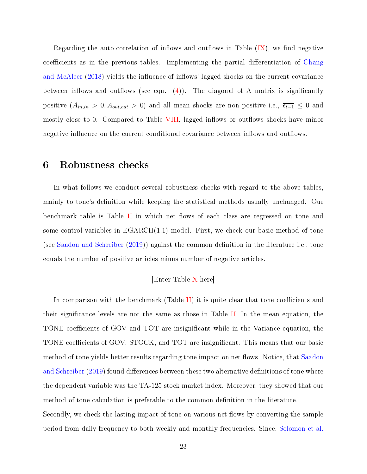Regarding the auto-correlation of inflows and outflows in Table  $(IX)$ , we find negative coefficients as in the previous tables. Implementing the partial differentiation of [Chang](#page-49-13) [and McAleer](#page-49-13) [\(2018\)](#page-49-13) yields the influence of inflows' lagged shocks on the current covariance between inflows and outflows (see eqn.  $(4)$ ). The diagonal of A matrix is significantly positive  $(A_{in,in} > 0, A_{out,out} > 0)$  and all mean shocks are non positive i.e.,  $\overline{\epsilon_{t-1}} \leq 0$  and mostly close to 0. Compared to Table [VIII,](#page-40-0) lagged inflows or outflows shocks have minor negative influence on the current conditional covariance between inflows and outflows.

# 6 Robustness checks

In what follows we conduct several robustness checks with regard to the above tables, mainly to tone's definition while keeping the statistical methods usually unchanged. Our benchmark table is Table [II](#page-34-0) in which net flows of each class are regressed on tone and some control variables in  $EGARCH(1,1)$  model. First, we check our basic method of tone (see [Saadon and Schreiber](#page-50-12)  $(2019)$ ) against the common definition in the literature i.e., tone equals the number of positive articles minus number of negative articles.

## [Enter Table [X](#page-42-0) here]

In comparison with the benchmark (Table [II\)](#page-34-0) it is quite clear that tone coefficients and their signicance levels are not the same as those in Table [II.](#page-34-0) In the mean equation, the TONE coefficients of GOV and TOT are insignificant while in the Variance equation, the TONE coefficients of GOV, STOCK, and TOT are insignificant. This means that our basic method of tone yields better results regarding tone impact on net flows. Notice, that [Saadon](#page-50-12) [and Schreiber](#page-50-12) [\(2019\)](#page-50-12) found differences between these two alternative definitions of tone where the dependent variable was the TA-125 stock market index. Moreover, they showed that our method of tone calculation is preferable to the common definition in the literature. Secondly, we check the lasting impact of tone on various net flows by converting the sample period from daily frequency to both weekly and monthly frequencies. Since, [Solomon et al.](#page-50-3)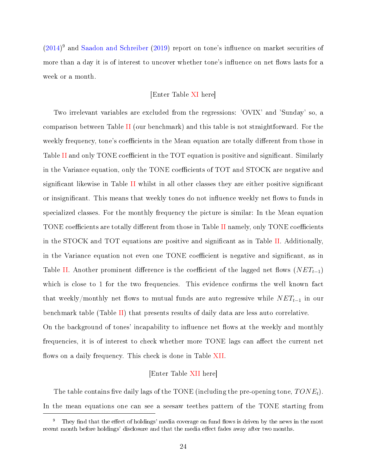$(2014)^9$  $(2014)^9$  and [Saadon and Schreiber](#page-50-12)  $(2019)$  report on tone's influence on market securities of more than a day it is of interest to uncover whether tone's influence on net flows lasts for a week or a month.

### [Enter Table [XI](#page-43-0) here]

Two irrelevant variables are excluded from the regressions: 'OVIX' and 'Sunday' so, a comparison between Table [II](#page-34-0) (our benchmark) and this table is not straightforward. For the weekly frequency, tone's coefficients in the Mean equation are totally different from those in Table [II](#page-34-0) and only TONE coefficient in the TOT equation is positive and significant. Similarly in the Variance equation, only the TONE coefficients of TOT and STOCK are negative and significant likewise in Table [II](#page-34-0) whilst in all other classes they are either positive significant or insignificant. This means that weekly tones do not influence weekly net flows to funds in specialized classes. For the monthly frequency the picture is similar: In the Mean equation TONE coefficients are totally different from those in Table [II](#page-34-0) namely, only TONE coefficients in the STOCK and TOT equations are positive and significant as in Table [II.](#page-34-0) Additionally, in the Variance equation not even one TONE coefficient is negative and significant, as in Table [II.](#page-34-0) Another prominent difference is the coefficient of the lagged net flows  $(NET_{t-1})$ which is close to 1 for the two frequencies. This evidence confirms the well known fact that weekly/monthly net flows to mutual funds are auto regressive while  $NET_{t-1}$  in our benchmark table (Table [II\)](#page-34-0) that presents results of daily data are less auto correlative. On the background of tones' incapability to influence net flows at the weekly and monthly frequencies, it is of interest to check whether more TONE lags can affect the current net

### [Enter Table [XII](#page-44-0) here]

flows on a daily frequency. This check is done in Table [XII.](#page-44-0)

The table contains five daily lags of the TONE (including the pre-opening tone,  $TONE<sub>t</sub>$ ). In the mean equations one can see a seesaw teethes pattern of the TONE starting from

 $9$  They find that the effect of holdings' media coverage on fund flows is driven by the news in the most recent month before holdings' disclosure and that the media effect fades away after two months.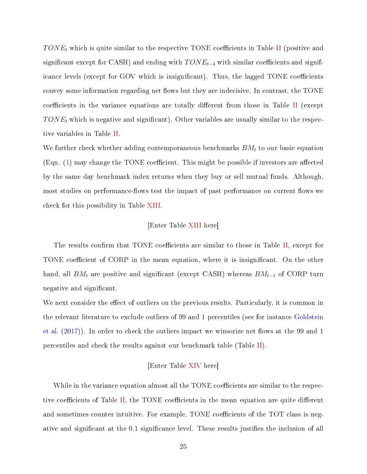$TONE_t$  which is quite similar to the respective TONE coefficients in Table [II](#page-34-0) (positive and significant except for CASH) and ending with  $TONE_{t-4}$  with similar coefficients and significance levels (except for GOV which is insignificant). Thus, the lagged TONE coefficients convey some information regarding net flows but they are indecisive. In contrast, the TONE coefficients in the variance equations are totally different from those in Table [II](#page-34-0) (except  $TONE<sub>t</sub>$  which is negative and significant). Other variables are usually similar to the respective variables in Table [II.](#page-34-0)

We further check whether adding contemporaneous benchmarks  $BM_t$  to our basic equation (Eqn.  $(1)$  may change the TONE coefficient. This might be possible if investors are affected by the same day benchmark index returns when they buy or sell mutual funds. Although, most studies on performance-flows test the impact of past performance on current flows we check for this possibility in Table [XIII.](#page-45-0)

### [Enter Table [XIII](#page-45-0) here]

The results confirm that TONE coefficients are similar to those in Table [II,](#page-34-0) except for TONE coefficient of CORP in the mean equation, where it is insignificant. On the other hand, all  $BM_t$  are positive and significant (except CASH) whereas  $BM_{t-1}$  of CORP turn negative and significant.

We next consider the effect of outliers on the previous results. Particularly, it is common in the relevant literature to exclude outliers of 99 and 1 percentiles (see for instance [Goldstein](#page-50-8) [et al.](#page-50-8)  $(2017)$ ). In order to check the outliers impact we winsorize net flows at the 99 and 1 percentiles and check the results against our benchmark table (Table [II\)](#page-34-0).

### [Enter Table [XIV](#page-46-0) here]

While in the variance equation almost all the TONE coefficients are similar to the respec-tive coefficients of Table [II,](#page-34-0) the TONE coefficients in the mean equation are quite different and sometimes counter intuitive. For example, TONE coefficients of the TOT class is negative and significant at the 0.1 significance level. These results justifies the inclusion of all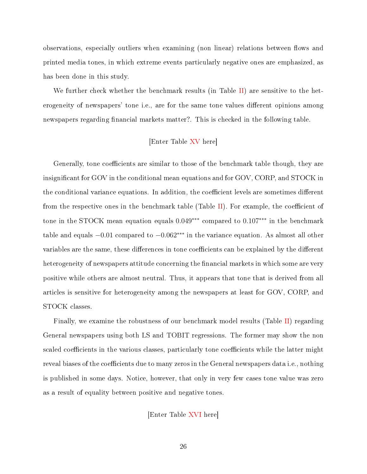observations, especially outliers when examining (non linear) relations between flows and printed media tones, in which extreme events particularly negative ones are emphasized, as has been done in this study.

We further check whether the benchmark results (in Table [II\)](#page-34-0) are sensitive to the heterogeneity of newspapers' tone i.e., are for the same tone values different opinions among newspapers regarding financial markets matter?. This is checked in the following table.

## [Enter Table [XV](#page-47-0) here]

Generally, tone coefficients are similar to those of the benchmark table though, they are insignificant for GOV in the conditional mean equations and for GOV, CORP, and STOCK in the conditional variance equations. In addition, the coefficient levels are sometimes different from the respective ones in the benchmark table (Table [II\)](#page-34-0). For example, the coefficient of tone in the STOCK mean equation equals 0.049∗∗∗ compared to 0.107∗∗∗ in the benchmark table and equals  $-0.01$  compared to  $-0.062$ <sup>\*\*\*</sup> in the variance equation. As almost all other variables are the same, these differences in tone coefficients can be explained by the different heterogeneity of newspapers attitude concerning the financial markets in which some are very positive while others are almost neutral. Thus, it appears that tone that is derived from all articles is sensitive for heterogeneity among the newspapers at least for GOV, CORP, and STOCK classes.

Finally, we examine the robustness of our benchmark model results (Table [II\)](#page-34-0) regarding General newspapers using both LS and TOBIT regressions. The former may show the non scaled coefficients in the various classes, particularly tone coefficients while the latter might reveal biases of the coefficients due to many zeros in the General newspapers data i.e., nothing is published in some days. Notice, however, that only in very few cases tone value was zero as a result of equality between positive and negative tones.

[Enter Table [XVI](#page-48-0) here]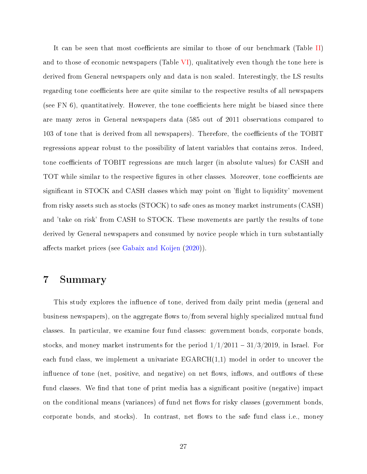It can be seen that most coefficients are similar to those of our benchmark (Table [II\)](#page-34-0) and to those of economic newspapers (Table [VI\)](#page-38-0), qualitatively even though the tone here is derived from General newspapers only and data is non scaled. Interestingly, the LS results regarding tone coefficients here are quite similar to the respective results of all newspapers (see FN  $6$ ), quantitatively. However, the tone coefficients here might be biased since there are many zeros in General newspapers data (585 out of 2011 observations compared to 103 of tone that is derived from all newspapers). Therefore, the coefficients of the TOBIT regressions appear robust to the possibility of latent variables that contains zeros. Indeed, tone coefficients of TOBIT regressions are much larger (in absolute values) for CASH and TOT while similar to the respective figures in other classes. Moreover, tone coefficients are significant in STOCK and CASH classes which may point on 'flight to liquidity' movement from risky assets such as stocks (STOCK) to safe ones as money market instruments (CASH) and 'take on risk' from CASH to STOCK. These movements are partly the results of tone derived by General newspapers and consumed by novice people which in turn substantially affects market prices (see [Gabaix and Koijen](#page-50-13) [\(2020\)](#page-50-13)).

# 7 Summary

This study explores the influence of tone, derived from daily print media (general and business newspapers), on the aggregate flows to/from several highly specialized mutual fund classes. In particular, we examine four fund classes: government bonds, corporate bonds, stocks, and money market instruments for the period  $1/1/2011 - 31/3/2019$ , in Israel. For each fund class, we implement a univariate  $EGARCH(1,1)$  model in order to uncover the influence of tone (net, positive, and negative) on net flows, inflows, and outflows of these fund classes. We find that tone of print media has a significant positive (negative) impact on the conditional means (variances) of fund net flows for risky classes (government bonds, corporate bonds, and stocks). In contrast, net flows to the safe fund class i.e., money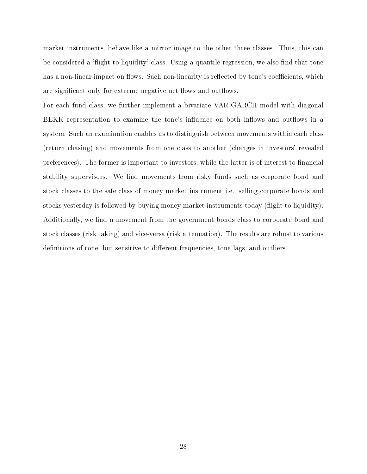market instruments, behave like a mirror image to the other three classes. Thus, this can be considered a 'flight to liquidity' class. Using a quantile regression, we also find that tone has a non-linear impact on flows. Such non-linearity is reflected by tone's coefficients, which are significant only for extreme negative net flows and outflows.

For each fund class, we further implement a bivariate VAR-GARCH model with diagonal BEKK representation to examine the tone's influence on both inflows and outflows in a system. Such an examination enables us to distinguish between movements within each class (return chasing) and movements from one class to another (changes in investors' revealed preferences). The former is important to investors, while the latter is of interest to financial stability supervisors. We find movements from risky funds such as corporate bond and stock classes to the safe class of money market instrument i.e., selling corporate bonds and stocks yesterday is followed by buying money market instruments today (flight to liquidity). Additionally, we find a movement from the government bonds class to corporate bond and stock classes (risk taking) and vice-versa (risk attenuation). The results are robust to various definitions of tone, but sensitive to different frequencies, tone lags, and outliers.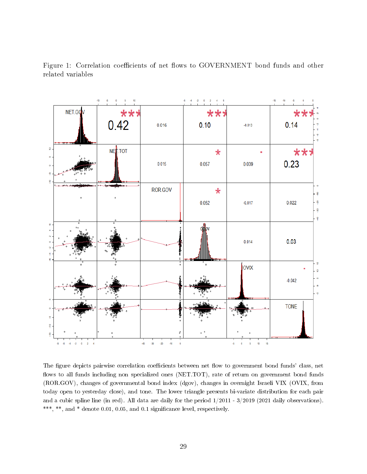

<span id="page-28-0"></span>Figure 1: Correlation coefficients of net flows to GOVERNMENT bond funds and other related variables

The figure depicts pairwise correlation coefficients between net flow to government bond funds' class, net flows to all funds including non specialized ones (NET.TOT), rate of return on government bond funds (ROR.GOV), changes of governmental bond index (dgov), changes in overnight Israeli VIX (OVIX, from today open to yesterday close), and tone. The lower triangle presents bi-variate distribution for each pair and a cubic spline line (in red). All data are daily for the period 1/2011 - 3/2019 (2021 daily observations). \*\*\*, \*\*, and \* denote 0.01, 0.05, and 0.1 significance level, respectively.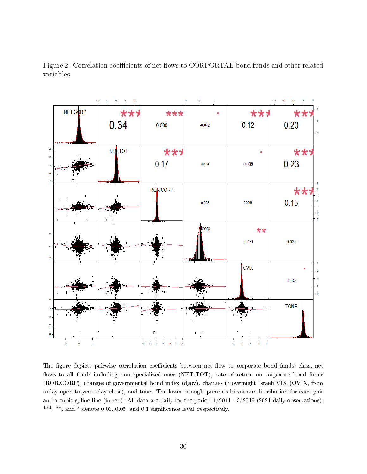

Figure 2: Correlation coefficients of net flows to CORPORTAE bond funds and other related variables

The figure depicts pairwise correlation coefficients between net flow to corporate bond funds' class, net flows to all funds including non specialized ones (NET.TOT), rate of return on corporate bond funds (ROR.CORP), changes of governmental bond index (dgov), changes in overnight Israeli VIX (OVIX, from today open to yesterday close), and tone. The lower triangle presents bi-variate distribution for each pair and a cubic spline line (in red). All data are daily for the period 1/2011 - 3/2019 (2021 daily observations). \*\*\*, \*\*, and \* denote 0.01, 0.05, and 0.1 significance level, respectively.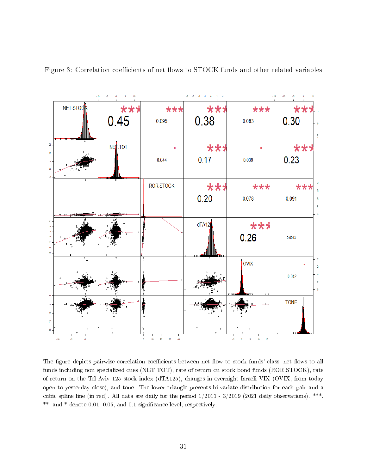

<span id="page-30-0"></span>Figure 3: Correlation coefficients of net flows to STOCK funds and other related variables

The figure depicts pairwise correlation coefficients between net flow to stock funds' class, net flows to all funds including non specialized ones (NET.TOT), rate of return on stock bond funds (ROR.STOCK), rate of return on the Tel-Aviv 125 stock index (dTA125), changes in overnight Israeli VIX (OVIX, from today open to yesterday close), and tone. The lower triangle presents bi-variate distribution for each pair and a cubic spline line (in red). All data are daily for the period  $1/2011 - 3/2019$  (2021 daily observations). \*\*\*, \*\*, and \* denote 0.01, 0.05, and 0.1 signicance level, respectively.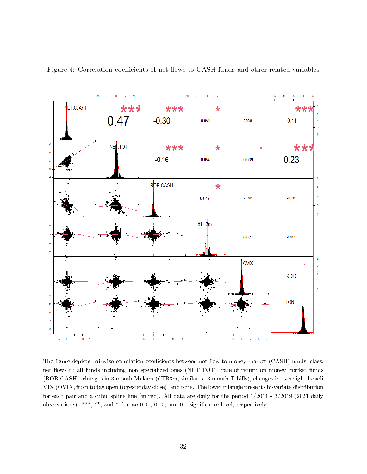

<span id="page-31-0"></span>Figure 4: Correlation coefficients of net flows to CASH funds and other related variables

The figure depicts pairwise correlation coefficients between net flow to money market (CASH) funds' class, net flows to all funds including non specialized ones (NET.TOT), rate of return on money market funds (ROR.CASH), changes in 3 month Makam (dTB3m, similar to 3 month T-bills), changes in overnight Israeli VIX (OVIX, from today open to yesterday close), and tone. The lower triangle presents bi-variate distribution for each pair and a cubic spline line (in red). All data are daily for the period 1/2011 - 3/2019 (2021 daily observations). \*\*\*, \*\*, and \* denote 0.01, 0.05, and 0.1 signicance level, respectively.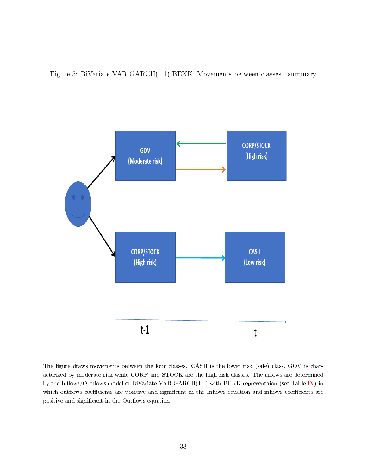<span id="page-32-0"></span>Figure 5: BiVariate VAR-GARCH(1,1)-BEKK: Movements between classes - summary



The figure draws movements between the four classes. CASH is the lower risk (safe) class, GOV is characterized by moderate risk while CORP and STOCK are the high risk classes. The arrows are determined by the Inflows/Outflows model of BiVariate VAR-GARCH $(1,1)$  with BEKK representaion (see Table [IX\)](#page-41-0) in which outflows coefficients are positive and significant in the Inflows equation and inflows coefficients are positive and significant in the Outflows equation.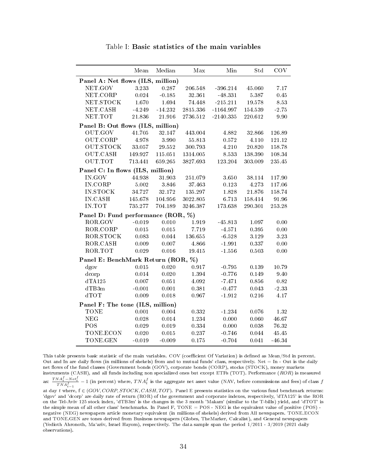<span id="page-33-0"></span>

|                                    | Mean          | Median    | Max         | Min         | Std       | <b>COV</b> |
|------------------------------------|---------------|-----------|-------------|-------------|-----------|------------|
| Panel A: Net flows (ILS, million)  |               |           |             |             |           |            |
| NET.GOV                            | 3.233         | 0.287     | 206.548     | $-396.214$  | 45.060    | 7.17       |
| NET.CORP                           | 0.024         | $-0.185$  | 32.361      | -48.331     | 5.387     | 0.45       |
| NET STOCK                          | 1.670         | 1.694     | 74.448      | $-215.211$  | 19.578    | 8.53       |
| NET CASH                           | -4.249        | $-14.232$ | 2815.336    | $-1164.997$ | 154.539   | $-2.75$    |
| NET.TOT                            | 21.836        | 21.916    | 2736.512    | $-2140.335$ | 220.612   | 9.90       |
| Panel B: Out flows (ILS, million)  |               |           |             |             |           |            |
| <b>OUT GOV</b>                     | 41.705        | 32.147    | 443.004     | 4.882       | 32.866    | 126.89     |
| OUT CORP                           | 4.978         | 3.990     | 55.813      | 0.572       | 4.110     | 121.12     |
| <b>OUT STOCK</b>                   | 33.057 29.552 |           | 300.793     | 4.210       | 20.820    | 158.78     |
| <b>OUT CASH</b>                    | 149.927       | 115.051   | 1314.005    | 8.533       | 138.390   | 108.34     |
| <b>OUT TOT</b>                     | 713.441       | 659.265   | 3827.693    | 123.204     | 303.009   | $235.45\,$ |
| Panel C: In flows (ILS, million)   |               |           |             |             |           |            |
| IN.GOV                             | 44.938        | 31.903    | 251.079     | $3.650\,$   | 38.114    | 117.90     |
| IN CORP                            | 5.002         | 3.846     | 37.463      | 0.123       | 4.273     | 117.06     |
| <b>IN.STOCK</b>                    | 34.727        | 32.172    | 135.297     | 1.828       | 21.876    | 158.74     |
| IN.CASH                            | 145.678       | 104.956   | 3022.805    | 6.713       | 158.414   | 91.96      |
| IN.TOT                             | 735.277       | 704.189   | 3246.387    | 173.638     | 290.301   | 253.28     |
| Panel D: Fund performance (ROR, %) |               |           |             |             |           |            |
| ROR.GOV                            | $-0.019$      | 0.010     | 1.919       | $-45.813$   | 1.097     | 0.00       |
| ROR CORP                           | 0.015         | $0.015\,$ | 7.719       | $-4.571$    | $0.395\,$ | 0.00       |
| ROR STOCK                          | 0.083         | 0.044     | $136.655\,$ | $-6.528$    | 3.129     | 323        |
| ROR CASH                           | 0.009         | 0.007     | 4.866       | $-1.991$    | 0.337     | 0.00       |
| ROR TOT                            | 0.029         | $0.016\,$ | 19.415      | $-1.556$    | 0.503     | 0.00       |
| Panel E: BenchMark Return (ROR, %) |               |           |             |             |           |            |
| dgov                               | $0.015\,$     | 0.020     | 0.917       | $-0.795$    | 0.139     | 10.79      |
| dcorp                              | 0.014         | 0.020     | 1.394       | $-0.776$    | 0.149     | 9.40       |
| dTA125                             | 0.007         | 0.051     | 4.092       | $-7.471$    | 0.856     | 0.82       |
| dTB3m                              | $-0.001$      | 0.001     | 0.381       | $-0.477$    | 0.043     | $-2.33\,$  |
| dTOT                               | 0.009         | $0.018\,$ | 0.967       | $-1.912$    | $0.216\,$ | 4.17       |
| Panel F: The tone (ILS, million)   |               |           |             |             |           |            |
| <b>TONE</b>                        | 0.001         | 0.004     | $\rm 0.332$ | $-1.234$    | 0.076     | 1.32       |
| <b>NEG</b>                         | 0.028         | 0.014     | 1.234       | 0.000       | 0.060     | 46.67      |
| POS                                | 0.029         | 0.019     | 0.334       | 0.000       | 0.038     | 76.32      |
| TONE ECON                          | 0.020         | 0.015     | 0.237       | $-0.746$    | 0.044     | $45.45\,$  |
| TONE GEN                           | $-0.019$      | $-0.009$  | 0.175       | $-0.704$    | 0.041     | $-46.34$   |

Table I: Basic statistics of the main variables

This table presents basic statistic of the main variables. COV (coefficient Of Variation) is defined as Mean/Std in percent. Out and In are daily flows (in millions of shekels) from and to mutual funds' class, respectively. Net  $=$  In - Out is the daily net flows of the fund classes (Government bonds (GOV), corporate bonds (CORP), stocks (STOCK), money markets instruments (CASH), and all funds including non specialized ones but except ETFs (TOT). Performance (ROR) is measured

as:  $\frac{TNA_t^f - Net_t^f}{TNA_{t-1}^f} - 1$  (in percent) where,  $TNA_t^f$  is the aggregate net asset value (NAV, before commissions and fees) of class  $f$ 

at day t where,  $f \in (GOV, CORP, STOCK, CASH, TOT)$ . Panel E presents statistics on the various fund benchmark returns: 'dgov' and 'dcorp' are daily rate of return (ROR) of the government and corporate indexes, respectively, 'dTA125' is the ROR on the Tel-Aviv 125 stock index, 'dTB3m' is the changes in the 3 month 'Makam' (similar to the T-bills) yield, and 'dTOT' is the simple mean of all other class' benchmarks. In Panel F, TONE = POS - NEG is the equivalent value of positive (POS) negative (NEG) newspapers article monetary equivalent (in millions of shekels) derived from All newspapers. TONE.ECON and TONE.GEN are tones derived from Business newspapers (Globes, TheMarker, Calcalist), and General newspapers (Yedioth Ahronoth, Ma'ariv, Israel Hayom), respectively. The data sample span the period 1/2011 - 3/2019 (2021 daily observations).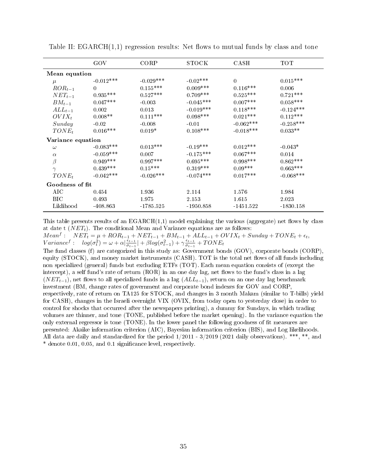|                   | GOV         | CORP        | <b>STOCK</b> | CASH        | TOT         |  |  |  |
|-------------------|-------------|-------------|--------------|-------------|-------------|--|--|--|
| Mean equation     |             |             |              |             |             |  |  |  |
| $\mu$             | $-0.012***$ | $-0.029***$ | $-0.02***$   | $\Omega$    | $0.015***$  |  |  |  |
| $ROR_{t-1}$       | $\Omega$    | $0.155***$  | $0.009***$   | $0.116***$  | 0.006       |  |  |  |
| $NET_{t-1}$       | $0.935***$  | $0.527***$  | $0.709***$   | $0.525***$  | $0.721***$  |  |  |  |
| $BM_{t-1}$        | $0.047***$  | $-0.003$    | $-0.045***$  | $0.007***$  | $0.058***$  |  |  |  |
| $ALL_{t-1}$       | 0.002       | 0.013       | $-0.019***$  | $0.118***$  | $-0.124***$ |  |  |  |
| $OVIX_t$          | $0.008**$   | $0.111***$  | $0.098***$   | $0.021***$  | $0.112***$  |  |  |  |
| Sunday            | $-0.02$     | $-0.008$    | $-0.01$      | $-0.062***$ | $-0.258***$ |  |  |  |
| $TONE_t$          | $0.016***$  | $0.019*$    | $0.108***$   | $-0.018***$ | $0.033**$   |  |  |  |
| Variance equation |             |             |              |             |             |  |  |  |
| $\omega$          | $-0.083***$ | $0.013***$  | $-0.19***$   | $0.012***$  | $-0.043*$   |  |  |  |
| $\alpha$          | $-0.059***$ | 0.007       | $-0.175***$  | $0.067***$  | 0.014       |  |  |  |
| $\beta$           | $0.949***$  | $0.997***$  | $0.695***$   | $0.998***$  | $0.862***$  |  |  |  |
| $\gamma$          | $0.439***$  | $0.15***$   | $0.319***$   | $0.09***$   | $0.663***$  |  |  |  |
| $TONE_t$          | $-0.042***$ | $-0.026***$ | $-0.074***$  | $0.017***$  | $-0.068***$ |  |  |  |
| Goodness of fit   |             |             |              |             |             |  |  |  |
| AIC               | 0.454       | 1.936       | 2.114        | 1.576       | 1.984       |  |  |  |
| <b>BIC</b>        | 0.493       | 1.975       | 2.153        | 1.615       | 2.023       |  |  |  |
| Liklihood         | $-408.863$  | $-1785.525$ | $-1950.858$  | $-1451.522$ | $-1830.158$ |  |  |  |

<span id="page-34-0"></span>Table II:  $EGARCH(1,1)$  regression results: Net flows to mutual funds by class and tone

This table presents results of an  $EGARCH(1,1)$  model explaining the various (aggregate) net flows by class at date t  $(NET_t)$ . The conditional Mean and Variance equations are as follows:

 $Mean<sup>f</sup>: \quad NET_t = \mu + ROR_{t-1} + NET_{t-1} + BM_{t-1} + ALL_{t-1} + OVIX_t + Sunday + TONE_t + \epsilon_t,$  $Variance^f: log(\sigma_t^2) = \omega + \alpha \vert \frac{\epsilon_{t-1}}{\sigma_{t-1}}$  $\frac{\epsilon_{t-1}}{\sigma_{t-1}}$  +  $\beta log(\sigma_{t-1}^2) + \gamma \frac{\epsilon_{t-1}}{\sigma_{t-1}}$  $\frac{\epsilon_{t-1}}{\sigma_{t-1}}+TONE_t$ 

The fund classes (f) are categorized in this study as: Government bonds (GOV), corporate bonds (CORP), equity (STOCK), and money market instruments (CASH). TOT is the total net flows of all funds including non specialized (general) funds but excluding ETFs (TOT). Each mean equation consists of (except the intercept), a self fund's rate of return (ROR) in an one day lag, net flows to the fund's class in a lag  $(NET_{t-1})$ , net flows to all specialized funds in a lag  $(ALL_{t-1})$ , return on an one day lag benchmark investment (BM, change rates of government and corporate bond indexes for GOV and CORP, respectively, rate of return on TA125 for STOCK, and changes in 3 month Makam (similar to T-bills) yield for CASH), changes in the Israeli overnight VIX (OVIX, from today open to yesterday close) in order to control for shocks that occurred after the newspapers printing), a dummy for Sundays, in which trading volumes are thinner, and tone (TONE, published before the market opening). In the variance equation the only external regressor is tone (TONE). In the lower panel the following goodness of fit measures are presented: Akaike information criterion (AIC), Bayesian information criterion (BIS), and Log likelihoods. All data are daily and standardized for the period 1/2011 - 3/2019 (2021 daily observations). \*\*\*, \*\*, and \* denote 0.01, 0.05, and 0.1 signicance level, respectively.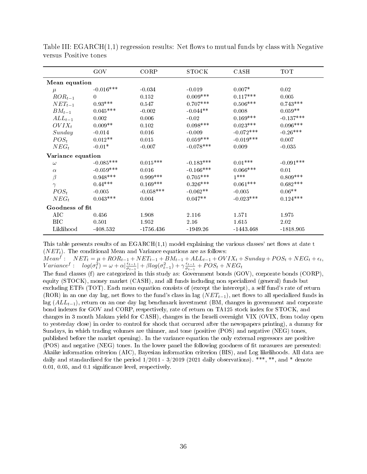|                   | GOV         | CORP        | <b>STOCK</b> | CASH        | <b>TOT</b>  |  |  |  |
|-------------------|-------------|-------------|--------------|-------------|-------------|--|--|--|
| Mean equation     |             |             |              |             |             |  |  |  |
| $\mu$             | $-0.016***$ | $-0.034$    | $-0.019$     | $0.007*$    | 0.02        |  |  |  |
| $ROR_{t-1}$       | $\theta$    | 0.152       | $0.009***$   | $0.117***$  | 0.005       |  |  |  |
| $NET_{t-1}$       | $0.93***$   | 0.547       | $0.707***$   | $0.506***$  | $0.743***$  |  |  |  |
| $BM_{t-1}$        | $0.045***$  | $-0.002$    | $-0.044**$   | 0.008       | $0.059**$   |  |  |  |
| $ALL_{t-1}$       | 0.002       | 0.006       | $-0.02$      | $0.169***$  | $-0.137***$ |  |  |  |
| $OVIX_t$          | $0.009**$   | 0.102       | $0.098***$   | $0.023***$  | $0.096***$  |  |  |  |
| Sunday            | $-0.014$    | 0.016       | $-0.009$     | $-0.072***$ | $-0.26***$  |  |  |  |
| $POS_{t}$         | $0.012**$   | 0.015       | $0.059***$   | $-0.019***$ | 0.007       |  |  |  |
| $NEG_{t}$         | $-0.01*$    | $-0.007$    | $-0.078***$  | 0.009       | $-0.035$    |  |  |  |
| Variance equation |             |             |              |             |             |  |  |  |
| $\omega$          | $-0.085***$ | $0.015***$  | $-0.183***$  | $0.01***$   | $-0.091***$ |  |  |  |
| $\alpha$          | $-0.059***$ | 0.016       | $-0.166***$  | $0.066***$  | 0.01        |  |  |  |
| $\beta$           | $0.948***$  | $0.999***$  | $0.705***$   | $1***$      | $0.809***$  |  |  |  |
| $\gamma$          | $0.44***$   | $0.169***$  | $0.326***$   | $0.061***$  | $0.682***$  |  |  |  |
| $POS_{t}$         | $-0.005$    | $-0.058***$ | $-0.062**$   | $-0.005$    | $0.06**$    |  |  |  |
| $NEG_{t}$         | $0.043***$  | 0.004       | $0.047**$    | $-0.023***$ | $0.124***$  |  |  |  |
| Goodness of fit   |             |             |              |             |             |  |  |  |
| AIC               | 0.456       | 1.908       | 2.116        | 1.571       | 1.975       |  |  |  |
| <b>BIC</b>        | 0.501       | 1.952       | 2.16         | 1.615       | 2.02        |  |  |  |
| Liklihood         | $-408.532$  | $-1756.436$ | $-1949.26$   | $-1443.468$ | $-1818.905$ |  |  |  |

<span id="page-35-0"></span>Table III:  $EGARCH(1,1)$  regression results: Net flows to mutual funds by class with Negative versus Positive tones

This table presents results of an  $EGARCH(1,1)$  model explaining the various classes' net flows at date t  $(NET<sub>t</sub>)$ . The conditional Mean and Variance equations are as follows:

 $Mean<sup>f</sup>:$   $NET<sub>t</sub> = \mu + ROR<sub>t-1</sub> + NET<sub>t-1</sub> + BM<sub>t-1</sub> + ALL<sub>t-1</sub> + OVIX<sub>t</sub> + Sunday + POS<sub>t</sub> + NEG<sub>t</sub> + \epsilon<sub>t</sub>,$  $Variance^f: log(\sigma_t^2) = \omega + \alpha \vert \frac{\epsilon_{t-1}}{\sigma_{t-1}}$  $\frac{\epsilon_{t-1}}{\sigma_{t-1}}$  +  $\beta log(\sigma_{t-1}^2) + \gamma \frac{\epsilon_{t-1}}{\sigma_{t-1}}$  $\frac{\epsilon_{t-1}}{\sigma_{t-1}}$  +  $POS_t$  +  $NEG_t$ 

The fund classes (f) are categorized in this study as: Government bonds (GOV), corporate bonds (CORP), equity (STOCK), money market (CASH), and all funds including non specialized (general) funds but excluding ETFs (TOT). Each mean equation consists of (except the intercept), a self fund's rate of return (ROR) in an one day lag, net flows to the fund's class in lag  $(NET_{t-1})$ , net flows to all specialized funds in lag ( $ALL_{t-1}$ ), return on an one day lag benchmark investment (BM, changes in government and corporate bond indexes for GOV and CORP, respectively, rate of return on TA125 stock index for STOCK, and changes in 3 month Makam yield for CASH), changes in the Israeli overnight VIX (OVIX, from today open to yesterday close) in order to control for shock that occurred after the newspapers printing), a dummy for Sundays, in which trading volumes are thinner, and tone (positive (POS) and negative (NEG) tones, published before the market opening). In the variance equation the only external regressors are positive (POS) and negative (NEG) tones. In the lower panel the following goodness of fit measures are presented: Akaike information criterion (AIC), Bayesian information criterion (BIS), and Log likelihoods. All data are daily and standardized for the period  $1/2011$  -  $3/2019$  (2021 daily observations). \*\*\*, \*\*, and \* denote 0.01, 0.05, and 0.1 signicance level, respectively.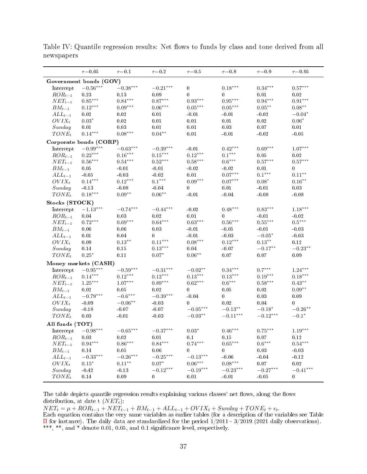|                         | $\tau = 0.05$                          | $\tau = 0.1$           | $\tau = 0.2$           | $\tau = 0.5$           | $\tau = 0.8$          | $\tau = 0.9$          | $\tau = 0.95$     |
|-------------------------|----------------------------------------|------------------------|------------------------|------------------------|-----------------------|-----------------------|-------------------|
|                         | Government bonds (GOV)                 |                        |                        |                        |                       |                       |                   |
| Intercept               | $-0.56***$                             | $-0.38***$             | $-0.21***$             | $\bf{0}$               | $0.18***$             | $0.34***$             | $0.57***$         |
| $ROR_{t-1}$             | 0.23                                   | 0.13                   | 0.09                   | $\bf{0}$               | 0                     | 0.01                  | 0.02              |
| $NET_{t-1}$             | $0.85^{\ast\ast\ast}$                  | $0.84^{***}\,$         | $0.87***$              | $0.93^{\ast\ast\ast}$  | $0.95^{\ast\ast\ast}$ | $0.94^{\ast\ast\ast}$ | $0.91***$         |
| $BM_{t-1}$              | $0.12***$                              | $0.09^{\ast\ast\ast}$  | $0.06***$              | $0.05***$              | $0.05***$             | $0.05***$             | $0.08^{\ast\ast}$ |
| $ALL_{t-1}$             | 0.02                                   | 0.02                   | $0.01\,$               | $-0.01$                | $-0.01$               | $-0.02$               | $-0.04*$          |
| $OVIX_t$                | $0.03^\ast$                            | 0.02                   | 0.01                   | 0.01                   | 0.01                  | 0.02                  | $0.06*$           |
| Sunday                  | 0.01                                   | 0.03                   | 0.01                   | 0.01                   | 0.03                  | 0.07                  | 0.01              |
| $TONE_t$                | $0.14***$                              | $0.08***$              | $0.04***$              | 0.01                   | $-0.01$               | $-0.02$               | $-0.05$           |
|                         | Corporate bonds (CORP)                 |                        |                        |                        |                       |                       |                   |
| Intercept               | $-0.99^{\ast\ast\ast}$                 | $-0.63***$             | $-0.39***$             | $-0.01$                | $0.42***$             | $0.69***$             | $1.07***$         |
| $ROR_{t-1}$             | $0.22***$                              | $0.16***$              | $0.15***$              | $0.12***$              | $0.1^{\ast\ast\ast}$  | 0.05                  | 0.02              |
| $NET_{t-1}$             | $0.56^{\ast\ast\ast}$                  | $0.54^{\ast\ast\ast}$  | $0.52***$              | $0.58^{\ast\ast\ast}$  | $0.6^{\ast\ast\ast}$  | $0.57***$             | $0.57***$         |
| $BM_{t-1}$              | $0.05\,$                               | $-0.01$                | $-0.01$                | $-0.02$                | $-0.02$               | $0.01\,$              | $\bf{0}$          |
|                         |                                        |                        |                        |                        | $0.07***$             | $0.1***$              | $0.11***$         |
| $ALL_{t-1}$<br>$OVIX_t$ | $-0.05$                                | $-0.03$                | $-0.02$<br>$0.1***$    | 0.01                   |                       |                       |                   |
|                         | $0.14***$                              | $0.12***$              |                        | $0.09***$              | $0.07***$             | $0.08*$               | $0.16***$         |
| Sunday                  | $-0.13$                                | $-0.08$                | $-0.04$                | $\mathbf{0}$           | 0.01                  | $-0.01$               | 0.03              |
| $TONE_t$                | $0.18***$                              | $0.09***$              | $0.06***$              | $-0.01$                | $-0.04$               | $-0.08$               | $-0.08$           |
| Stocks (STOCK)          |                                        |                        |                        |                        |                       |                       |                   |
| Intercept               | $-1.13***$                             | $-0.74***$             | $-0.44***$             | $-0.02$                | $0.48***$             | $0.83***$             | $1.18***$         |
| $ROR_{t-1}$             | 0.04                                   | 0.03                   | 0.02                   | 0.01                   | 0                     | $-0.01$               | $-0.02$           |
| $NET_{t-1}$             | $0.72***$                              | $0.69^{\ast\ast\ast}$  | $0.64^{\ast\ast\ast}$  | $0.63***$              | $0.56^{\ast\ast\ast}$ | $0.55***$             | $0.5***$          |
| $BM_{t-1}$              | 0.06                                   | 0.06                   | 0.03                   | $-0.01$                | $-0.05$               | $-0.01$               | $-0.03$           |
| $ALL_{t-1}$             | 0.01                                   | 0.04                   | $\overline{0}$         | $-0.01$                | $-0.03$               | $-0.05*$              | $-0.03$           |
| $OVIX_t$                | $0.09\,$                               | $0.13***$              | $0.11***$              | $0.08***$              | $0.12***$             | $0.13***$             | 0.12              |
| Sunday                  | $0.14\,$                               | 0.15                   | $0.13***$              | $0.04\,$               | $-0.07$               | $-0.17***$            | $-0.23***$        |
| $TONE_t$                | $0.25*$                                | 0.11                   | $0.07*$                | $0.06***$              | $0.07\,$              | 0.07                  | 0.09              |
|                         | Money markets (CASH)                   |                        |                        |                        |                       |                       |                   |
| Intercept               | $-0.95***$                             | $-0.59^{\ast\ast\ast}$ | $-0.31^{\ast\ast\ast}$ | $-0.02**$              | $0.34***$             | $0.7***$              | $1.24***$         |
| $ROR_{t-1}$             | $0.14***$                              | $0.12***$              | $0.12***$              | $0.13^{\ast\ast\ast}$  | $0.13^{\ast\ast\ast}$ | $0.19***$             | $0.18***$         |
| $NET_{t-1}$             | $1.25***$                              | $1.07^{\ast\ast\ast}$  | $0.89***$              | $0.62***$              | $0.6***$              | $0.58***$             | $0.43***$         |
| $BM_{t-1}$              | 0.02                                   | $0.05\,$               | 0.02                   | $\overline{0}$         | $0.05\,$              | 0.02                  | $0.09**$          |
| $ALL_{t-1}$             | $-0.79***$                             | $-0.6***$              | $-0.39***$             | $-0.04$                | 0                     | $0.03\,$              | $0.09\,$          |
| $OVIX_t$                | $-0.09$                                | $-0.06^{\ast\ast}$     | $-0.03$                | $\mathbf{0}$           | 0.02                  | 0.04                  | $\bf{0}$          |
| Sunday                  | $-0.18$                                | $-0.07$                | $-0.07$                | $-0.05^{\ast\ast\ast}$ | $-0.13^{\ast\ast}$    | $-0.18*$              | $-0.26***$        |
| $TONE_t$                | $0.03\,$                               | $-0.01$                | $-0.03$                | $-0.03^{\ast\ast}$     | $-0.11***$            | $-0.12***$            | $-0.1*$           |
| All funds (TOT)         |                                        |                        |                        |                        |                       |                       |                   |
|                         | ${\rm Intercept} \quad \  -0.98^{***}$ | $-0.65***$             | $-0.37***$             | $0.03*$                | $0.46***$             | $0.75^{\ast\ast\ast}$ | $1.19***$         |
| $ROR_{t-1}$             | $0.03\,$                               | $0.02\,$               | 0.01                   | 0.1                    | $0.15\,$              | 0.07                  | $0.12\,$          |
| $NET_{t-1}$             | $0.94***$                              | $0.86^{\ast\ast\ast}$  | $0.84***$              | $0.74***$              | $0.65^{\ast\ast\ast}$ | $0.6***$              | $0.54***$         |
| $BM_{t-1}$              | 0.14                                   | $0.05\,$               | $0.06\,$               | $\boldsymbol{0}$       | 0                     | $0.03\,$              | $-0.03$           |
| $ALL_{t-1}$             | $-0.33***$                             | $-0.26***$             | $-0.25***$             | $-0.13***$             | $-0.06$               | $-0.04$               | $-0.12$           |
| $OVIX_t$                | $0.15*$                                | $0.11***$              | $0.07^\ast$            | $0.06***$              | $0.08***$             | 0.07                  | $0.02\,$          |
| Sunday                  | $-0.42$                                | $-0.13$                | $-0.12***$             | $-0.19***$             | $-0.23***$            | $-0.27***$            | $-0.41***$        |
| $TONE_t$                | 0.14                                   | 0.09                   | $\boldsymbol{0}$       | $0.01\,$               | $-0.01$               | $-0.05$               | $\bf{0}$          |
|                         |                                        |                        |                        |                        |                       |                       |                   |

<span id="page-36-0"></span>Table IV: Quantile regression results: Net flows to funds by class and tone derived from all newspapers

The table depicts quantile regression results explaining various classes' net flows, along the flows distribution, at date t  $(NET_t)$ :

 $NET_t = \mu + ROR_{t-1} + NET_{t-1} + BM_{t-1} + ALL_{t-1} + OVIX_t + Sunday + TONE_t + \epsilon_t.$ 

Each equation contains the very same variables as earlier tables (for a description of the variables see Table [II](#page-34-0) for instance). The daily data are standardized for the period  $1/2011$  - 3/2019 (2021 daily observations). \*\*\*, \*\*, and \* denote 0.01, 0.05, and 0.1 significance level, respectively.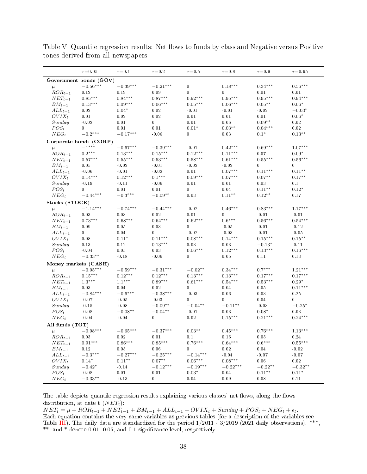|                 | $\tau = 0.05$          | $\tau = 0.1$        | $\tau = 0.2$     | $\tau{=}0.5$          | $\tau = 0.8$         | $\tau{=}0.9$          | $\tau = 0.95$ |
|-----------------|------------------------|---------------------|------------------|-----------------------|----------------------|-----------------------|---------------|
|                 | Government bonds (GOV) |                     |                  |                       |                      |                       |               |
| $\mu$           | $-0.56***$             | $-0.39***$          | $-0.21***$       | $\boldsymbol{0}$      | $0.18***$            | $0.34***$             | $0.56***$     |
| $ROR_{t-1}$     | 0.12                   | 0.19                | 0.09             | 0                     | $\bf{0}$             | 0.01                  | 0.01          |
| $NET_{t-1}$     | $0.85^{\ast\ast\ast}$  | $0.84***$           | $0.87***$        | $0.92***$             | $0.95***$            | $0.95^{\ast\ast\ast}$ | $0.94***$     |
| $BM_{t-1}$      | $0.13***$              | $0.09***$           | $0.06***$        | $0.05***$             | $0.06***$            | $0.05***$             | $0.06*$       |
| $ALL_{t-1}$     | 0.02                   | $0.04*$             | 0.02             | $-0.01$               | $-0.01$              | $-0.02$               | $-0.03*$      |
| $OVIX_t$        | 0.01                   | 0.02                | $\,0.02$         | 0.01                  | 0.01                 | 0.01                  | $0.06*$       |
| Sunday          | $-0.02$                | 0.01                | $\mathbf{0}$     | 0.01                  | 0.06                 | $0.09**$              | 0.02          |
| $POS_t$         | $\bf{0}$               | 0.01                | 0.01             | $0.01*$               | $0.03***$            | $0.04***$             | 0.02          |
| $NEG_{t}$       | $-0.2***$              | $-0.17***$          | $-0.06$          | 0                     | 0.03                 | $0.1*$                | $0.13**$      |
|                 | Corporate bonds (CORP) |                     |                  |                       |                      |                       |               |
| $\mu$           | $-1^{\ast\ast\ast}$    | $-0.67***$          | $-0.39***$       | $-0.01$               | $0.42***$            | $0.69***$             | $1.07***$     |
| $ROR_{t-1}$     | $0.2***$               | $0.13***$           | $0.15***$        | $0.12***$             | $0.11***$            | 0.07                  | $0.09*$       |
| $NET_{t-1}$     | $0.57***$              | $0.55***$           | $0.53***$        | $0.58***$             | $0.61***$            | $0.55***$             | $0.56***$     |
| $BM_{t-1}$      | 0.05                   | $-0.02$             | $-0.01$          | $-0.02$               | $-0.02$              | $\mathbf{0}$          | $\mathbf{0}$  |
| $ALL_{t-1}$     | $-0.06$                | $-0.01$             | $-0.02$          | 0.01                  | $0.07***$            | $0.11***$             | $0.11***$     |
| $OVIX_t$        | $0.14***$              | $0.12***$           | $0.1***$         | $0.09***$             | $0.07***$            | $0.07***$             | $0.17***$     |
| Sunday          | $-0.19$                | $-0.11$             | $-0.06$          | 0.01                  | 0.01                 | 0.03                  | 0.1           |
| $POS_t$         | $\bf{0}$               | 0.01                | 0.01             | 0                     | 0.04                 | $0.11***$             | $0.12*$       |
| $NEG_t$         | $-0.44***$             | $-0.3***$           | $-0.09**$        | 0.03                  | $0.11***$            | $0.12***$             | $0.17\,$      |
| Stocks (STOCK)  |                        |                     |                  |                       |                      |                       |               |
| $\mu$           | $-1.14***$             | $-0.74***$          | $-0.44***$       | $-0.02$               | $0.46***$            | $0.83***$             | $1.17***$     |
| $ROR_{t-1}$     | 0.03                   | 0.03                | 0.02             | 0.01                  | 0                    | $-0.01$               | $-0.01$       |
| $NET_{t-1}$     | $0.73***$              | $0.68***$           | $0.64***$        | $0.62^{\ast\ast\ast}$ | $0.6^{\ast\ast\ast}$ | $0.56***$             | $0.54***$     |
| $BM_{t-1}$      | 0.09                   | 0.05                | $\,0.03$         | $\bf{0}$              | $-0.05$              | $-0.01$               | $-0.12$       |
| $ALL_{t-1}$     | $\mathbf{0}$           | 0.04                | $\bf{0}$         | $-0.02$               | $-0.03$              | $-0.01$               | $-0.05$       |
| $OVIX_t$        | 0.08                   | $0.11*$             | $0.11***$        | $0.08***$             | $0.14***$            | $0.15***$             | $0.15***$     |
| Sunday          | 0.13                   | 0.12                | $0.13***$        | 0.03                  | 0.03                 | $-0.13*$              | $-0.11$       |
| $POS_t$         | $-0.04$                | 0.05                | 0.03             | $0.06***$             | $0.12***$            | $0.13***$             | $0.16***$     |
| $NEG_t$         | $-0.33**$              | $-0.18$             | $-0.06$          | 0                     | 0.05                 | 0.11                  | 0.13          |
|                 | Money markets (CASH)   |                     |                  |                       |                      |                       |               |
| $\mu$           | $-0.95***$             | $-0.59***$          | $-0.31***$       | $-0.02**$             | $0.34***$            | $0.7***$              | $1.21***$     |
| $ROR_{t-1}$     | $0.15***$              | $0.12***$           | $0.12***$        | $0.13***$             | $0.13***$            | $0.17***$             | $0.17***$     |
| $NET_{t-1}$     | $1.3***$               | $1.1***$            | $0.89***$        | $0.61***$             | $0.54***$            | $0.53***$             | $0.29*$       |
| $BM_{t-1}$      | 0.03                   | 0.04                | 0.02             | $\bf{0}$              | 0.04                 | 0.05                  | $0.11***$     |
| $ALL_{t-1}$     | $-0.84***$             | $-0.6***$           | $-0.38***$       | $-0.03$               | 0.06                 | 0.03                  | 0.25          |
| $OVIX_t$        | $-0.07$                | $-0.05$             | $-0.03$          | $\bf{0}$              | $\bf{0}$             | 0.04                  | $\mathbf{0}$  |
| Sunday          | $-0.15$                | $-0.08$             | $-0.09**$        | $-0.04**$             | $-0.11**$            | $-0.03$               | $-0.25*$      |
| $POS_t$         | $-0.08$                | $-0.08**$           | $-0.04**$        | $-0.01$               | 0.03                 | $0.08*$               | 0.03          |
| $NEG_t$         | $\mbox{-}0.04$         | $-0.04$             | $\bf{0}$         | $0.02\,$              | $0.15***$            | $0.21***$             | $0.24***$     |
| All funds (TOT) |                        |                     |                  |                       |                      |                       |               |
| $\mu$           | $-0.98***$             | $-0.65***$          | $-0.37***$       | $0.03**$              | $0.45***$            | $0.76***$             | $1.13***$     |
| $ROR_{t-1}$     | $\,0.03$               | $\boldsymbol{0.02}$ | 0.01             | $0.1\,$               | $0.16\,$             | $\bf 0.05$            | 0.24          |
| $NET_{t-1}$     | $0.91***$              | $0.86***$           | $0.85***$        | $0.76***$             | $0.64***$            | $0.6***$              | $0.55***$     |
| $BM_{t-1}$      | 0.12                   | 0.05                | 0.06             | $\mathbf{0}$          | $\boldsymbol{0.02}$  | 0.04                  | $-0.02$       |
| $ALL_{t-1}$     | $-0.3***$              | $-0.27***$          | $-0.25***$       | $-0.14***$            | $-0.04$              | $-0.07$               | $-0.07$       |
| $OVIX_t$        | $0.14*$                | $0.11**$            | $0.07**$         | $0.06^{\ast\ast\ast}$ | $0.08***$            | 0.06                  | 0.02          |
| Sunday          | $-0.42*$               | $-0.14$             | $-0.12***$       | $-0.19***$            | $-0.22***$           | $-0.22**$             | $-0.32**$     |
| $POS_{t}$       | $-0.08$                | 0.01                | 0.01             | $0.03*$               | 0.04                 | $0.11**$              | $0.11*$       |
| $NEG_t$         | $-0.33**$              | $-0.13$             | $\boldsymbol{0}$ | $0.04\,$              | $0.09$               | 0.08                  | 0.11          |
|                 |                        |                     |                  |                       |                      |                       |               |

<span id="page-37-0"></span>Table V: Quantile regression results: Net flows to funds by class and Negative versus Positive tones derived from all newspapers

The table depicts quantile regression results explaining various classes' net flows, along the flows distribution, at date t  $(NET_t)$ :

 $NET_t = \mu + ROR_{t-1} + NET_{t-1} + BM_{t-1} + ALL_{t-1} + OVIX_t + Sunday + POS_t + NEG_t + \epsilon_t.$ Each equation contains the very same variables as previous tables (for a description of the variables see Table [III\)](#page-35-0). The daily data are standardized for the period  $1/2011$  -  $3/2019$  (2021 daily observations). \*\*\*, \*\*, and  $*$  denote 0.01, 0.05, and 0.1 significance level, respectively.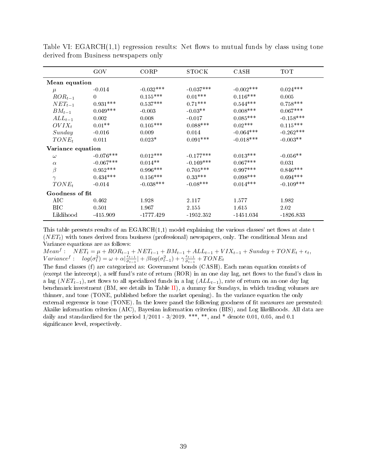|                   | GOV         | CORP        | STOCK       | CASH         | TOT         |  |  |  |  |
|-------------------|-------------|-------------|-------------|--------------|-------------|--|--|--|--|
| Mean equation     |             |             |             |              |             |  |  |  |  |
| $\mu$             | $-0.014$    | $-0.032***$ | $-0.037***$ | $-0.002$ *** | $0.024***$  |  |  |  |  |
| $ROR_{t-1}$       | $\Omega$    | $0.155***$  | $0.01***$   | $0.116***$   | 0.005       |  |  |  |  |
| $NET_{t-1}$       | $0.931***$  | $0.537***$  | $0.71***$   | $0.544***$   | $0.758***$  |  |  |  |  |
| $BM_{t-1}$        | $0.049***$  | $-0.003$    | $-0.03**$   | $0.008***$   | $0.067***$  |  |  |  |  |
| $ALL_{t-1}$       | 0.002       | 0.008       | $-0.017$    | $0.085***$   | $-0.158***$ |  |  |  |  |
| $OVIX_t$          | $0.01**$    | $0.105***$  | $0.088***$  | $0.02***$    | $0.115***$  |  |  |  |  |
| Sunday            | $-0.016$    | 0.009       | 0.014       | $-0.064***$  | $-0.262***$ |  |  |  |  |
| $TONE_t$          | 0.011       | $0.023*$    | $0.091***$  | $-0.018***$  | $-0.003**$  |  |  |  |  |
| Variance equation |             |             |             |              |             |  |  |  |  |
| $\omega$          | $-0.076***$ | $0.012***$  | $-0.177***$ | $0.013***$   | $-0.056**$  |  |  |  |  |
| $\alpha$          | $-0.067***$ | $0.014**$   | $-0.169***$ | $0.067***$   | 0.031       |  |  |  |  |
| $\beta$           | $0.952***$  | $0.996***$  | $0.705***$  | $0.997***$   | $0.846***$  |  |  |  |  |
| $\gamma$          | $0.434***$  | $0.156***$  | $0.33***$   | $0.098***$   | $0.694***$  |  |  |  |  |
| $TONE_t$          | $-0.014$    | $-0.038***$ | $-0.08***$  | $0.014***$   | $-0.109***$ |  |  |  |  |
| Goodness of fit   |             |             |             |              |             |  |  |  |  |
| AIC               | 0.462       | 1.928       | 2.117       | 1.577        | 1.982       |  |  |  |  |
| BIC.              | 0.501       | 1.967       | 2.155       | 1.615        | 2.02        |  |  |  |  |
| Liklihood         | $-415.909$  | -1777.429   | $-1952.352$ | $-1451.034$  | $-1826.833$ |  |  |  |  |

<span id="page-38-0"></span>Table VI:  $EGARCH(1,1)$  regression results: Net flows to mutual funds by class using tone derived from Business newspapers only

This table presents results of an  $EGARCH(1,1)$  model explaining the various classes' net flows at date t  $(NET<sub>t</sub>)$  with tones derived from business (professional) newspapers, only. The conditional Mean and Variance equations are as follows:

 $Mean<sup>f</sup>: \n $NET_t = \mu + ROR_{t-1} + NET_{t-1} + BM_{t-1} + ALL_{t-1} + VIX_{t-1} + Sunday + TONE_t + \epsilon_t,$$  $Variance^f: log(\sigma_t^2) = \omega + \alpha \vert \frac{\epsilon_{t-1}}{\sigma_{t-1}}$  $\frac{\epsilon_{t-1}}{\sigma_{t-1}}$  +  $\beta log(\sigma_{t-1}^2) + \gamma \frac{\epsilon_{t-1}}{\sigma_{t-1}}$  $\frac{\epsilon_{t-1}}{\sigma_{t-1}}+TONE_t$ 

The fund classes (f) are categorized as: Government bonds (CASH). Each mean equation consists of (except the intercept), a self fund's rate of return  $(ROR)$  in an one day lag, net flows to the fund's class in a lag (NET<sub>t−1</sub>), net flows to all specialized funds in a lag ( $ALL_{t-1}$ ), rate of return on an one day lag benchmark investment (BM, see details in Table [II\)](#page-34-0), a dummy for Sundays, in which trading volumes are thinner, and tone (TONE, published before the market opening). In the variance equation the only external regressor is tone (TONE). In the lower panel the following goodness of fit measures are presented: Akaike information criterion (AIC), Bayesian information criterion (BIS), and Log likelihoods. All data are daily and standardized for the period  $1/2011 - 3/2019$ . \*\*\*, \*\*, and \* denote 0.01, 0.05, and 0.1 significance level, respectively.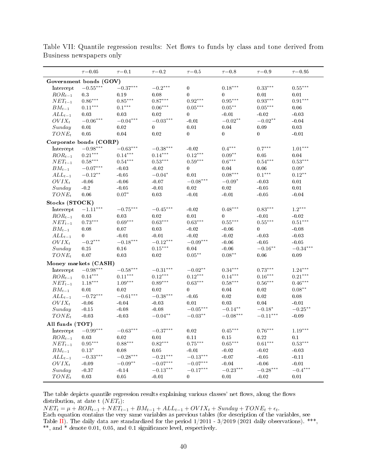|                 | $\tau = 0.05$          | $\tau = 0.1$           | $\tau{=}0.2$           | $\tau = 0.5$           | $\tau{=}0.8$           | $\tau = 0.9$          | $\tau = 0.95$         |
|-----------------|------------------------|------------------------|------------------------|------------------------|------------------------|-----------------------|-----------------------|
|                 | Government bonds (GOV) |                        |                        |                        |                        |                       |                       |
| Intercept       | $-0.55^{\ast\ast\ast}$ | $-0.37***$             | $-0.2***$              | $\bf{0}$               | $0.18***$              | $0.33***$             | $0.55***$             |
| $ROR_{t-1}$     | 0.3                    | 0.19                   | 0.08                   | $\overline{0}$         | $\mathbf{0}$           | 0.01                  | 0.01                  |
| $NET_{t-1}$     | $0.86***$              | $0.85***$              | $0.87***$              | $0.92^{\ast\ast\ast}$  | $0.95^{\ast\ast\ast}$  | $0.93^{\ast\ast\ast}$ | $0.91^{\ast\ast\ast}$ |
| $BM_{t-1}$      | $0.11***$              | $0.1***$               | $0.06***$              | $0.05^{\ast\ast\ast}$  | $0.05***$              | $0.05***$             | 0.06                  |
| $ALL_{t-1}$     | 0.03                   | 0.03                   | 0.02                   | $\bf{0}$               | $-0.01$                | $-0.02$               | $-0.03$               |
| $OVIX_t$        | $-0.06^{\ast\ast\ast}$ | $-0.04^{***}\,$        | $-0.03^{\ast\ast\ast}$ | $-0.01$                | $-0.02**$              | $-0.02**$             | $-0.04$               |
| Sunday          | 0.01                   | 0.02                   | $\mathbf{0}$           | 0.01                   | 0.04                   | 0.09                  | 0.03                  |
| $TONE_t$        | 0.05                   | 0.04                   | 0.02                   | $\overline{0}$         | $\overline{0}$         | $\mathbf{0}$          | $-0.01$               |
|                 | Corporate bonds (CORP) |                        |                        |                        |                        |                       |                       |
| Intercept       | $-0.98***$             | $-0.63***$             | $-0.38***$             | $-0.02$                | $0.4***$               | $0.7***$              | $1.01***$             |
| $ROR_{t-1}$     | $0.21^{\ast\ast\ast}$  | $0.14***$              | $0.14***$              | $0.12***$              | $0.09**$               | $0.05\,$              | 0.04                  |
| $NET_{t-1}$     | $0.58***$              | $0.54^{***}\,$         | $0.53^{\ast\ast\ast}$  | $0.59^{\ast\ast\ast}$  | $0.6***$               | $0.54^{***}\,$        | $0.53***$             |
| $BM_{t-1}$      | $-0.07***$             | $-0.03$                | $-0.02$                | $\boldsymbol{0}$       | 0.04                   | 0.06                  | $0.09*$               |
| $ALL_{t-1}$     | $-0.12***$             | $-0.05$                | $-0.04*$               | $0.01\,$               | $0.08***$              | $0.1***$              | $0.12***$             |
| $OVIX_t$        | $-0.06$                | $-0.06$                | $-0.07$                | $-0.08^{\ast\ast\ast}$ | $-0.09*$               | $-0.03$               | 0.01                  |
| Sunday          | $-0.2$                 | $-0.05$                | $-0.01$                | 0.02                   | 0.02                   | $-0.05$               | 0.01                  |
| $TONE_t$        | $0.06\,$               | $0.07*$                | 0.03                   | $-0.01$                | $-0.01$                | $-0.05$               | $-0.04$               |
| Stocks (STOCK)  |                        |                        |                        |                        |                        |                       |                       |
| Intercept       | $-1.11^{\ast\ast\ast}$ | $-0.75^{\ast\ast\ast}$ | $-0.45***$             | $-0.02$                | $0.48***$              | $0.83***$             | $1.2^{\ast\ast\ast}$  |
| $ROR_{t-1}$     | 0.03                   | 0.03                   | 0.02                   | 0.01                   | $\bf{0}$               | $-0.01$               | $-0.02$               |
| $NET_{t-1}$     | $0.73^{\ast\ast\ast}$  | $0.69^{\ast\ast\ast}$  | $0.63^{\ast\ast\ast}$  | $0.63^{\ast\ast\ast}$  | $0.55^{\ast\ast\ast}$  | $0.55***$             | $0.51^{\ast\ast\ast}$ |
| $BM_{t-1}$      | 0.08                   | $0.07\,$               | 0.03                   | $-0.02$                | $-0.06$                | $\overline{0}$        | $-0.08$               |
| $ALL_{t-1}$     | $\overline{0}$         | $-0.01$                | $-0.01$                | $-0.02$                | $-0.02$                | $-0.03$               | $-0.03$               |
| $OVIX_t$        | $-0.2^{\ast\ast\ast}$  | $-0.18***$             | $-0.12***$             | $-0.09***$             | $-0.06$                | $-0.05$               | $-0.05$               |
| Sunday          | 0.25                   | 0.16                   | $0.15***$              | $0.04\,$               | $-0.06$                | $-0.16***$            | $-0.34***$            |
| $TONE_t$        | 0.07                   | 0.03                   | $0.02\,$               | $0.05***$              | $0.08***$              | $0.06\,$              | 0.09                  |
|                 | Money markets (CASH)   |                        |                        |                        |                        |                       |                       |
| Intercept       | $-0.98^{\ast\ast\ast}$ | $-0.58^{\ast\ast\ast}$ | $-0.31***$             | $-0.02**$              | $0.34***$              | $0.73***$             | $1.24***$             |
| $ROR_{t-1}$     | $0.14***$              | $0.11^{\ast\ast\ast}$  | $0.12***$              | $0.12***$              | $0.14***$              | $0.16^{\ast\ast\ast}$ | $0.21***$             |
| $NET_{t-1}$     | $1.18***$              | $1.09***$              | $0.89***$              | $0.63***$              | $0.58***$              | $0.56***$             | $0.46***$             |
| $BM_{t-1}$      | 0.01                   | 0.02                   | 0.02                   | $\overline{0}$         | 0.04                   | 0.02                  | $0.08***$             |
| $ALL_{t-1}$     | $-0.72***$             | $-0.61^{\ast\ast\ast}$ | $-0.38***$             | $-0.05$                | 0.02                   | 0.02                  | 0.08                  |
| $OVIX_t$        | $-0.06$                | $-0.04$                | $-0.03$                | 0.01                   | $0.03\,$               | 0.04                  | $-0.01$               |
| Sunday          | $-0.15$                | $-0.08$                | $-0.08$                | $-0.05^{***}\,$        | $-0.14^{\ast\ast}$     | $-0.18*$              | $-0.25***$            |
| $TONE_t$        | $-0.03$                | $-0.03$                | $-0.04***$             | $-0.03***$             | $-0.08^{\ast\ast\ast}$ | $-0.11***$            | $-0.09$               |
| All funds (TOT) |                        |                        |                        |                        |                        |                       |                       |
| Intercept       | $-0.99***$             | $-0.63^{\ast\ast\ast}$ | $-0.37***$             | 0.02                   | $0.45***$              | $0.76***$             | $1.19***$             |
| $ROR_{t-1}$     | 0.03                   | 0.02                   | 0.01                   | 0.11                   | 0.15                   | 0.22                  | 0.1                   |
| $NET_{t-1}$     | $0.95***$              | $0.88***$              | $0.82***$              | $0.75***$              | $0.65^{\ast\ast\ast}$  | $0.61***$             | $0.53***$             |
| $BM_{t-1}$      | $0.13*$                | 0.08                   | 0.05                   | $-0.01$                | $-0.02$                | $-0.02$               | $-0.03$               |
| $ALL_{t-1}$     | $-0.33***$             | $-0.28***$             | $-0.21***$             | $-0.13^{\ast\ast\ast}$ | $-0.07$                | $-0.05$               | $-0.11$               |
| $OVIX_t$        | $-0.09$                | $-0.09**$              | $-0.07^{\ast\ast\ast}$ | $-0.07***$             | $-0.04$                | $-0.06$               | $-0.01$               |
| Sunday          | $-0.37$                | $-0.14$                | $-0.13***$             | $-0.17***$             | $-0.23***$             | $-0.28***$            | $-0.4***$             |
| $TONE_t$        | $0.03\,$               | $0.05\,$               | $-0.01$                | $\bf{0}$               | $0.01\,$               | $-0.02$               | 0.01                  |

Table VII: Quantile regression results: Net flows to funds by class and tone derived from Business newspapers only

The table depicts quantile regression results explaining various classes' net flows, along the flows distribution, at date t  $(NET_t)$ :

 $NET_t = \mu + ROR_{t-1} + NET_{t-1} + BM_{t-1} + ALL_{t-1} + OVIX_t + Sunday + TONE_t + \epsilon_t.$ Each equation contains the very same variables as previous tables (for description of the variables, see Table [II\)](#page-34-0). The daily data are standardized for the period  $1/2011 - 3/2019$  (2021 daily observations). \*\*\*, \*\*, and \* denote 0.01, 0.05, and 0.1 signicance level, respectively.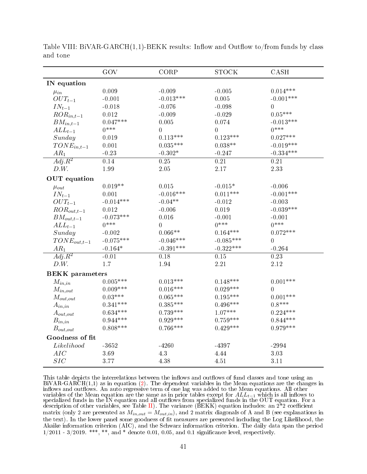|                          | GOV               | CORP              | <b>STOCK</b>      | CASH               |
|--------------------------|-------------------|-------------------|-------------------|--------------------|
| IN equation              |                   |                   |                   |                    |
| $\mu_{in}$               | 0.009             | $-0.009$          | $-0.005$          | $0.014***$         |
| $OUT_{t-1}$              | $-0.001$          | $-0.013***$       | 0.005             | $-0.001***$        |
| $\mathcal{IN}_{t-1}$     | $-0.018$          | $-0.076$          | $-0.098$          | $\overline{0}$     |
| $ROR_{in,t-1}$           | 0.012             | $-0.009$          | $-0.029$          | $0.05***$          |
| $BM_{in,t-1}$            | $0.047***$        | 0.005             | 0.074             | $-0.013***$        |
| $ALL_{t-1}$              | $0***$            | $\boldsymbol{0}$  | $\overline{0}$    | $0***$             |
| Sunday                   | 0.019             | $0.113***$        | $0.123***$        | $0.027***$         |
| $TONE_{in,t-1}$          | 0.001             | $0.035***$        | $0.038**$         | $-0.019***$        |
| $AR_1$                   | $-0.23$           | $-0.302*$         | $-0.247$          | $-0.334***$        |
| $\overline{Adj}$ . $R^2$ | $\overline{0.14}$ | $\overline{0.25}$ | $\overline{0.21}$ | $\overline{0\ 21}$ |
| D.W.                     | 1.99              | 2.05              | 2.17              | 2.33               |
| <b>OUT</b> equation      |                   |                   |                   |                    |
| $\mu_{out}$              | $0.019**$         | $0.015\,$         | $-0.015*$         | $-0.006$           |
| $IN_{t-1}$               | 0.001             | $-0.016***$       | $0.011***$        | $-0.001***$        |
| $OUT_{t-1}$              | $-0.014***$       | $-0.04**$         | $-0.012$          | $-0.003$           |
| $ROR_{out,t-1}$          | 0.012             | $-0.006$          | 0.019             | $-0.039***$        |
| $BM_{out,t-1}$           | $-0.073***$       | 0.016             | $-0.001$          | $-0.001$           |
| $ALL_{t-1}$              | $0***$            | $\overline{0}$    | $0***$            | $0***$             |
| Sunday                   | $-0.002$          | $0.066**$         | $0.164***$        | $0.072***$         |
| $TONE_{out,t-1}$         | $-0.075***$       | $-0.046***$       | $-0.085***$       | $\overline{0}$     |
| $AR_1$                   | $-0.164*$         | $-0.391***$       | $-0.322***$       | $-0.264$           |
| $Adj.R^2$                | $-0.01$           | 0.18              | $\overline{0.15}$ | $\overline{0.23}$  |
| D.W.                     | 1.7               | 1.94              | 2.21              | 2.12               |
| <b>BEKK</b> parameters   |                   |                   |                   |                    |
| $M_{in,in}$              | $0.005***$        | $0.013***$        | $0.148***$        | $0.001***$         |
| $M_{in,out}$             | $0.009***$        | $0.016***$        | $0.029***$        | $\overline{0}$     |
| $M_{out,out}$            | $0.03***$         | $0.065***$        | $0.195***$        | $0.001***$         |
| $A_{in,in}$              | $0.341***$        | $0.385***$        | $0.496***$        | $0.8***$           |
| $A_{out,out}$            | $0.634***$        | $0.739***$        | $1.07***$         | $0.224***$         |
| $B_{in,in}$              | $0.944***$        | $0.929***$        | $0.759***$        | $0.844***$         |
| $B_{out,out}$            | $0.808***$        | $0.766***$        | $0.429***$        | $0.979***$         |
| Goodness of fit          |                   |                   |                   |                    |
| Likelihood               | $-3652$           | $-4260$           | -4397             | $-2994$            |
| AIC                      | 3.69              | $4.3\,$           | 4.44              | 3.03               |
| SIC                      | 3.77              | 4.38              | 4.51              | 3.11               |

<span id="page-40-0"></span>Table VIII: BiVAR-GARCH $(1,1)$ -BEKK results: Inflow and Outflow to/from funds by class and tone

This table depicts the interrelations between the inflows and outflows of fund classes and tone using an BiVAR-GARCH(1,1) as in equation [\(2\)](#page-9-0). The dependent variables in the Mean equations are the changes in inflows and outflows. An auto regressive term of one lag was added to the Mean equations. All other variables of the Mean equation are the same as in prior tables except for  $ALL_{t-1}$  which is all inflows to specialized funds in the IN equation and all outflows from specialized funds in the  $\rm OUT$  equation. For a description of other variables, see Table [II\)](#page-34-0). The variance (BEKK) equation includes: an  $2^*2$  coefficient matrix (only 2 are presented as  $M_{in,out} = M_{out,in}$ ), and 2 matrix diagonals of A and B (see explanations in the text). In the lower panel some goodness of fit measures are presented including the Log Likelihood, the Akaike information criterion (AIC), and the Schwarz information criterion. The daily data span the period  $1/2011$  - 3/2019. \*\*\*, \*\*, and \* denote 0.01, 0.05, and 0.1 significance level, respectively.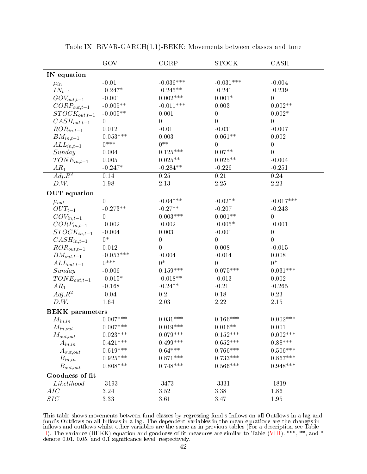<span id="page-41-0"></span>

|                          | GOV             | CORP             | <b>STOCK</b>           | CASH              |
|--------------------------|-----------------|------------------|------------------------|-------------------|
| IN equation              |                 |                  |                        |                   |
| $\mu_{in}$               | $-0.01$         | $-0.036***$      | $-0.031***$            | $-0.004$          |
| $IN_{t-1}$               | $-0.247*$       | $-0.245**$       | $-0.241$               | $-0.239$          |
| $GOV_{out,t-1}$          | $-0.001$        | $0.002***$       | $0.001*$               | $\overline{0}$    |
| $CORP_{out,t-1}$         | $-0.005**$      | $-0.011***$      | 0.003                  | $0.002**$         |
| $STOCK_{out,t-1}$        | $-0.005**$      | 0.001            | $\mathbf{0}$           | $0.002*$          |
| $CASH_{out,t-1}$         | $\overline{0}$  | $\mathbf 0$      | $\overline{0}$         | $\boldsymbol{0}$  |
| $ROR_{in,t-1}$           | 0.012           | $-0.01$          | $-0.031$               | $-0.007$          |
| $BM_{in,t-1}$            | $0.053***$      | 0.003            | $0.061**$              | 0.002             |
| $ALL_{in,t-1}$           | $0***$          | $0***$           | $\overline{0}$         | $\boldsymbol{0}$  |
| Sunday                   | 0.004           | $0.125***$       | $0.07**$               | $\overline{0}$    |
| $TONE_{in,t-1}$          | 0.005           | $0.025**$        | $0.025**$              | $-0.004$          |
| $AR_1$                   | $-0.247*$       | $-0.284**$       | $-0.226$               | $-0.251$          |
| $\overline{Adj}$ . $R^2$ | 0.14            | 0.25             | $\overline{0.21}$      | 0.24              |
| D.W.                     | 1.98            | 2.13             | 2.25                   | 2.23              |
| <b>OUT</b> equation      |                 |                  |                        |                   |
| $\mu_{out}$              | $\overline{0}$  | $-0.04***$       | $-0.02**$              | $-0.017***$       |
| $OUT_{t-1}$              | $-0.273**$      | $-0.27**$        | $-0.207$               | $-0.243$          |
| $GOV_{in,t-1}$           | $\overline{0}$  | $0.003***$       | $0.001**$              | $\overline{0}$    |
| $CORP_{in,t-1}$          | $-0.002$        | $-0.002$         | $-0.005*$              | $-0.001$          |
| $STOCK_{in,t-1}$         | $-0.004$        | 0.003            | $-0.001$               | $\mathbf{0}$      |
| $CASH_{in,t-1}$          | $0*$            | $\overline{0}$   | $\overline{0}$         | $\overline{0}$    |
| $ROR_{out,t-1}$          | 0.012           | $\overline{0}$   | 0.008                  | $-0.015$          |
| $BM_{out,t-1}$           | $-0.053***$     | $-0.004$         | $-0.014$               | 0.008             |
| $ALL_{out,t-1}$          | $0***$          | $0*$             | $\overline{0}$         | $0*$              |
| Sunday                   | $-0.006$        | $0.159***$       | $0.075***$             | $0.031***$        |
| $TONE_{out,t-1}$         | $-0.015*$       | $-0.018**$       | $-0.013$               | 0.002             |
| $AR_1$                   | $-0.168$        | $-0.24**$        | $-0.21$                | $-0.265$          |
| $\overline{Adj}$ . $R^2$ | $-0.04$         | $\overline{0.2}$ | 0.18                   | $\overline{0.23}$ |
| D.W.                     | 1.64            | 2.03             | 2.22                   | $2.15\,$          |
| <b>BEKK</b> parameters   |                 |                  |                        |                   |
| $M_{in,in}$              | $0.007***$      | $0.031***$       | $0.166***$             | $0.002***$        |
| $\mathcal{M}_{in,out}$   | $0.007***$      | $0.019***$       | $0.016**$              | 0.001             |
| $M_{out,out}$            | $0.023^{***}\,$ | $0.079***$       | $0.152***$             | $0.002***$        |
| $A_{in,in}$              | $0.421***$      | $0.499***$       | $0.652***$             | $0.88***$         |
| $A_{out,out}$            | $0.619***$      | $0.64***$        | $0.766^{\ast\ast\ast}$ | $0.506***$        |
| $B_{in,in}$              | $0.925***$      | $0.871***$       | $0.733***$             | $0.867***$        |
| $B_{out,out}$            | $0.808***$      | $0.748***$       | $0.566***$             | $0.948***$        |
| Goodness of fit          |                 |                  |                        |                   |
| Likelihood               | $-3193$         | $-3473$          | $-3331$                | $-1819$           |
| AIC                      | $3.24\,$        | 3.52             | 3.38                   | 1.86              |
| SIC                      | 3.33            | 3.61             | 3.47                   | 1.95              |

Table IX: BiVAR-GARCH(1,1)-BEKK: Movements between classes and tone

This table shows movements between fund classes by regressing fund's Inflows on all Outflows in a lag and fund's Outflows on all Inflows in a lag. The dependent variables in the mean equations are the changes in inflows and outflows whilst other variables are the same as in previous tables (For a description see Table [II\)](#page-34-0). The variance (BEKK) equation and goodness of fit measures are similar to Table [\(VIII\)](#page-40-0). \*\*\*, \*\*, and \* denote 0.01, 0.05, and 0.1 signicance level, respectively.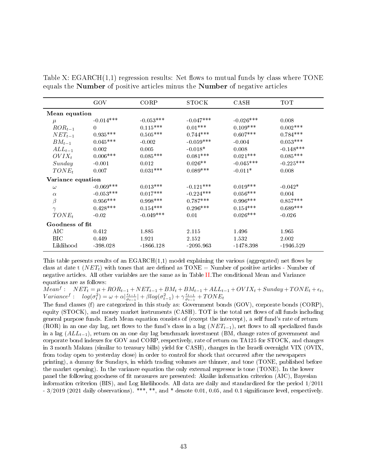|                   | GOV             | CORP        | <b>STOCK</b> | CASH        | <b>TOT</b>  |  |  |  |  |
|-------------------|-----------------|-------------|--------------|-------------|-------------|--|--|--|--|
|                   |                 |             |              |             |             |  |  |  |  |
|                   | Mean equation   |             |              |             |             |  |  |  |  |
| $\mu$             | $-0.014***$     | $-0.053***$ | $-0.047***$  | $-0.026***$ | 0.008       |  |  |  |  |
| $ROR_{t-1}$       | $\Omega$        | $0.115***$  | $0.01***$    | $0.109***$  | $0.002***$  |  |  |  |  |
| $NET_{t-1}$       | $0.935^{***}\,$ | $0.505***$  | $0.744***$   | $0.607***$  | $0.784***$  |  |  |  |  |
| $BM_{t-1}$        | $0.045***$      | $-0.002$    | $-0.059***$  | $-0.004$    | $0.053***$  |  |  |  |  |
| $ALL_{t-1}$       | 0.002           | 0.005       | $-0.018*$    | 0.008       | $-0.148***$ |  |  |  |  |
| $OVIX_t$          | $0.006***$      | $0.085***$  | $0.081***$   | $0.021***$  | $0.085***$  |  |  |  |  |
| Sunday            | $-0.001$        | 0.012       | $0.026**$    | $-0.045***$ | $-0.225***$ |  |  |  |  |
| $TONE_t$          | 0.007           | $0.031***$  | $0.089***$   | $-0.011*$   | 0.008       |  |  |  |  |
| Variance equation |                 |             |              |             |             |  |  |  |  |
| $\omega$          | $-0.069***$     | $0.013***$  | $-0.121***$  | $0.019***$  | $-0.042*$   |  |  |  |  |
| $\alpha$          | $-0.053***$     | $0.017***$  | $-0.224***$  | $0.056***$  | 0.004       |  |  |  |  |
| $\beta$           | $0.956***$      | $0.998***$  | $0.787***$   | $0.996***$  | $0.857***$  |  |  |  |  |
| $\gamma$          | $0.428***$      | $0.154***$  | $0.296***$   | $0.154***$  | $0.689***$  |  |  |  |  |
| $TONE_t$          | $-0.02$         | $-0.049***$ | 0.01         | $0.026***$  | $-0.026$    |  |  |  |  |
| Goodness of fit   |                 |             |              |             |             |  |  |  |  |
| AIC               | 0.412           | 1.885       | 2.115        | 1.496       | 1.965       |  |  |  |  |
| BIC.              | 0.449           | 1.921       | 2.152        | 1.532       | 2.002       |  |  |  |  |
| Liklihood         | $-398.028$      | $-1866.128$ | $-2095.963$  | $-1478.398$ | $-1946.529$ |  |  |  |  |

<span id="page-42-0"></span>Table X:  $EGARCH(1,1)$  regression results: Net flows to mutual funds by class where TONE equals the Number of positive articles minus the Number of negative articles

This table presents results of an  $EGARCH(1,1)$  model explaining the various (aggregated) net flows by class at date t  $(NET<sub>t</sub>)$  with tones that are defined as TONE = Number of positive articles - Number of negative articles. All other variables are the same as in Table [II.](#page-34-0)The conditional Mean and Variance equations are as follows:

 $Mean<sup>f</sup>: \quad NET_t = \mu + ROR_{t-1} + NET_{t-1} + BM_t + BM_{t-1} + ALL_{t-1} + OVIX_t + Sunday + TONE_t + \epsilon_t,$  $Variance^f: log(\sigma_t^2) = \omega + \alpha \vert \frac{\epsilon_{t-1}}{\sigma_{t-1}}$  $\frac{\epsilon_{t-1}}{\sigma_{t-1}}$  +  $\beta log(\sigma_{t-1}^2) + \gamma \frac{\epsilon_{t-1}}{\sigma_{t-1}}$  $\frac{\epsilon_{t-1}}{\sigma_{t-1}}+TONE_t$ 

The fund classes (f) are categorized in this study as: Government bonds (GOV), corporate bonds (CORP), equity (STOCK), and money market instruments (CASH). TOT is the total net flows of all funds including general purpose funds. Each Mean equation consists of (except the intercept), a self fund's rate of return (ROR) in an one day lag, net flows to the fund's class in a lag  $(NET_{t-1})$ , net flows to all specialized funds in a lag  $(ALL_{t-1})$ , return on an one day lag benchmark investment (BM, change rates of government and corporate bond indexes for GOV and CORP, respectively, rate of return on TA125 for STOCK, and changes in 3 month Makam (similar to treasury bills) yield for CASH), changes in the Israeli overnight VIX (OVIX, from today open to yesterday close) in order to control for shock that occurred after the newspapers printing), a dummy for Sundays, in which trading volumes are thinner, and tone (TONE, published before the market opening). In the variance equation the only external regressor is tone (TONE). In the lower panel the following goodness of fit measures are presented: Akaike information criterion (AIC), Bayesian information criterion (BIS), and Log likelihoods. All data are daily and standardized for the period 1/2011 - 3/2019 (2021 daily observations). \*\*\*, \*\*, and \* denote 0.01, 0.05, and 0.1 signicance level, respectively.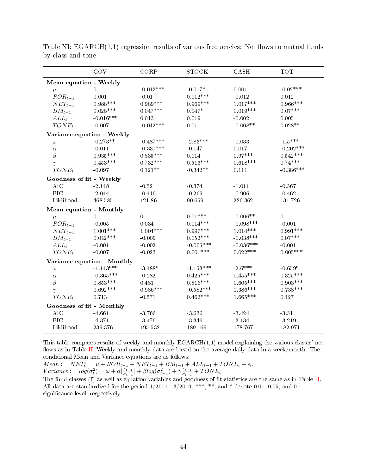|                            | GOV                         | CORP        | <b>STOCK</b> | CASH        | <b>TOT</b>       |
|----------------------------|-----------------------------|-------------|--------------|-------------|------------------|
| Mean equation - Weekly     |                             |             |              |             |                  |
| $\mu$                      | $\theta$                    | $-0.013***$ | $-0.017*$    | 0.001       | $-0.02***$       |
| $ROR_{t-1}$                | 0.001                       | $-0.01$     | $0.012***$   | $-0.012$    | 0.012            |
| $NET_{t-1}$                | $0.988***$                  | $0.989***$  | $0.969***$   | $1.017***$  | $0.966***$       |
| $BM_{t-1}$                 | $0.028***$                  | $0.047***$  | $0.047*$     | $0.019***$  | $0.07***$        |
| $ALL_{t-1}$                | $-0.016***$                 | 0.013       | 0.019        | $-0.002$    | $0.005\,$        |
| $TONE_t$                   | $-0.007$                    | $-0.042***$ | 0.01         | $-0.008**$  | $0.028**$        |
| Variance equation - Weekly |                             |             |              |             |                  |
| $\omega$                   | $-0.273**$                  | $-0.487***$ | $-2.83***$   | $-0.033$    | $-1.5***$        |
| $\alpha$                   | $-0.011$                    | $-0.331***$ | $-0.147$     | 0.017       | $-0.202***$      |
| $\beta$                    | $0.935***$                  | $0.835***$  | 0.114        | $0.97***$   | $0.542***$       |
| $\gamma$                   | $0.453***$                  | $0.732***$  | $0.513***$   | $0.618***$  | $0.74***$        |
| $TONE_t$                   | $-0.097$                    | $0.121**$   | $-0.342**$   | 0.111       | $-0.386***$      |
| Goodness of fit - Weekly   |                             |             |              |             |                  |
| <b>AIC</b>                 | $-2.148$                    | $-0.52$     | $-0.374$     | $-1.011$    | $-0.567$         |
| <b>BIC</b>                 | $-2.044$                    | $-0.416$    | $-0.269$     | $-0.906$    | $-0.462$         |
| Liklihood                  | 468.585                     | 121.86      | 90.659       | 226.362     | 131.726          |
| Mean equation - Monthly    |                             |             |              |             |                  |
| $\mu$                      | $\theta$                    | $\mathbf 0$ | $0.01***$    | $-0.006**$  | $\boldsymbol{0}$ |
| $ROR_{t-1}$                | $-0.005$                    | 0.034       | $0.014***$   | $-0.098***$ | $-0.001$         |
| $NET_{t-1}$                | $1.001***$                  | $1.004***$  | $0.997***$   | $1.014***$  | $0.991***$       |
| $BM_{t-1}$                 | $0.042***$                  | $-0.009$    | $0.052***$   | $-0.038***$ | $0.07***$        |
| $ALL_{t-1}$                | $-0.001$                    | $-0.002$    | $-0.005***$  | $-0.036***$ | $-0.001$         |
| $TONE_t$                   | $-0.007$                    | $-0.023$    | $0.001***$   | $0.022***$  | $0.005***$       |
|                            | Variance equation - Monthly |             |              |             |                  |
| $\omega$                   | $-1.143***$                 | $-3.488*$   | $-1.153***$  | $-2.6***$   | $-0.659*$        |
| $\alpha$                   | $-0.365***$                 | $-0.282$    | $0.425***$   | $0.455***$  | $0.325***$       |
| $\beta$                    | $0.853***$                  | 0.481       | $0.816***$   | $0.605***$  | $0.903***$       |
| $\gamma$                   | $0.692***$                  | $0.986***$  | $-0.582***$  | $1.386***$  | $0.738***$       |
| $TONE_t$                   | 0.713                       | $-0.571$    | $0.462***$   | $1.665***$  | 0.427            |
| Goodness of fit - Monthly  |                             |             |              |             |                  |
| AIC                        | $-4.661$                    | $-3.766$    | $-3.636$     | $-3.424$    | $-3.51$          |
| <b>BIC</b>                 | $-4.371$                    | $-3.476$    | $-3.346$     | $-3.134$    | -3.219           |
| Liklihood                  | 239 376                     | 195.532     | 189.169      | 178.767     | 182.971          |

<span id="page-43-0"></span>Table XI:  $EGARCH(1,1)$  regression results of various frequencies: Net flows to mutual funds by class and tone

This table compares results of weekly and monthly  $EGARCH(1,1)$  model explaining the various classes' net flows as in Table [II.](#page-34-0) Weekly and monthly data are based on the average daily data in a week/month. The conditional Mean and Variance equations are as follows:

 $Mean: \quad NET_t^f = \mu + ROR_{t-1} + NET_{t-1} + BM_{t-1} + ALL_{t-1} + TONE_t + \epsilon_t,$ Variance:  $log(\sigma_t^2) = \omega + \alpha \vert \frac{\epsilon_{t-1}}{\sigma_{t-1}}$  $\frac{\epsilon_{t-1}}{\sigma_{t-1}}$  +  $\beta log(\sigma_{t-1}^2) + \gamma \frac{\epsilon_{t-1}}{\sigma_{t-1}}$  $\frac{\epsilon_{t-1}}{\sigma_{t-1}}+TONE_t$ 

The fund classes (f) as well as equation variables and goodness of fit statistics are the same as in Table [II.](#page-34-0) All data are standardized for the period  $1/2011 - 3/2019$ . \*\*\*, \*\*, and \* denote 0.01, 0.05, and 0.1 significance level, respectively.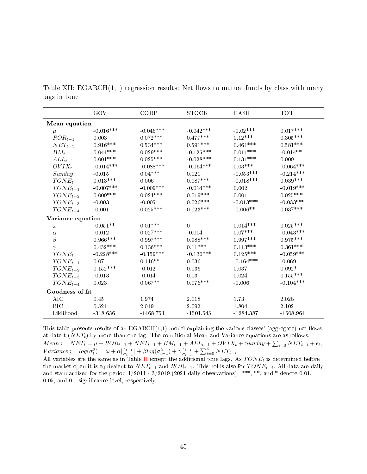|                   | GOV           | CORP        | <b>STOCK</b> | CASH        | <b>TOT</b>  |  |  |  |  |
|-------------------|---------------|-------------|--------------|-------------|-------------|--|--|--|--|
|                   | Mean equation |             |              |             |             |  |  |  |  |
| $\mu$             | $-0.016***$   | $-0.046***$ | $-0.042***$  | $-0.02***$  | $0.017***$  |  |  |  |  |
| $ROR_{t-1}$       | 0.003         | $0.072***$  | $0.477***$   | $0.12***$   | $0.305***$  |  |  |  |  |
| $NET_{t-1}$       | $0.916***$    | $0.534***$  | $0.591***$   | $0.461***$  | $0.581***$  |  |  |  |  |
| $BM_{t-1}$        | $0.044***$    | $0.029***$  | $-0.125***$  | $0.011***$  | $-0.014**$  |  |  |  |  |
| $ALL_{t-1}$       | $0.001***$    | $0.025***$  | $-0.028***$  | $0.131***$  | 0.009       |  |  |  |  |
| $OVIX_t$          | $-0.014***$   | $-0.088***$ | $-0.064***$  | $0.03***$   | $-0.064***$ |  |  |  |  |
| Sunday            | $-0.015$      | $0.04***$   | 0.021        | $-0.053***$ | $-0.214***$ |  |  |  |  |
| $TONE_t$          | $0.013***$    | 0.006       | $0.087***$   | $-0.018***$ | $0.039***$  |  |  |  |  |
| $TONE_{t-1}$      | $-0.007***$   | $-0.009***$ | $-0.014***$  | 0.002       | $-0.019***$ |  |  |  |  |
| $TONE_{t-2}$      | $0.009***$    | $0.024***$  | $0.019***$   | 0.001       | $0.025***$  |  |  |  |  |
| $TONE_{t-3}$      | $-0.003$      | $-0.005$    | $0.026***$   | $-0.013***$ | $-0.033***$ |  |  |  |  |
| $TONE_{t-4}$      | $-0.001$      | $0.025***$  | $0.023***$   | $-0.006**$  | $0.037***$  |  |  |  |  |
| Variance equation |               |             |              |             |             |  |  |  |  |
| $\omega$          | $-0.051**$    | $0.01***$   | $\mathbf 0$  | $0.014***$  | $0.025***$  |  |  |  |  |
| $\alpha$          | $-0.012$      | $0.027***$  | $-0.004$     | $0.07***$   | $-0.043***$ |  |  |  |  |
| $\beta$           | $0.966***$    | $0.997***$  | $0.988***$   | $0.997***$  | $0.975***$  |  |  |  |  |
| $\gamma$          | $0.452***$    | $0.136***$  | $0.11***$    | $0.113***$  | $0.361***$  |  |  |  |  |
| $TONE_t$          | $-0.228***$   | $-0.159***$ | $-0.136***$  | $0.125***$  | $-0.059***$ |  |  |  |  |
| $TONE_{t-1}$      | 0.07          | $0.116**$   | 0.036        | $-0.164***$ | $-0.069$    |  |  |  |  |
| $TONE_{t-2}$      | $0.152***$    | $-0.012$    | 0.036        | 0.037       | $0.092*$    |  |  |  |  |
| $TONE_{t-3}$      | $-0.013$      | $-0.014$    | 0.03         | 0.024       | $0.155***$  |  |  |  |  |
| $TONE_{t-4}$      | 0.023         | $0.067**$   | $0.076***$   | $-0.006$    | $-0.104***$ |  |  |  |  |
| Goodness of fit   |               |             |              |             |             |  |  |  |  |
| AIC               | 0.45          | 1.974       | 2.018        | 1.73        | 2.028       |  |  |  |  |
| <b>BIC</b>        | 0.524         | 2.049       | 2.092        | 1.804       | 2.102       |  |  |  |  |
| Liklihood         | $-318.636$    | $-1468.751$ | $-1501.545$  | $-1284.387$ | $-1508.964$ |  |  |  |  |

<span id="page-44-0"></span>Table XII:  $EGARCH(1,1)$  regression results: Net flows to mutual funds by class with many lags in tone

This table presents results of an  $EGARCH(1,1)$  model explaining the various classes' (aggregate) net flows at date t  $(NET<sub>t</sub>)$  by more than one lag. The conditional Mean and Variance equations are as follows:  $Mean:$   $NET_t = \mu + ROR_{t-1} + NET_{t-1} + BM_{t-1} + ALL_{t-1} + OVIX_t + Sunday + \sum_{i=0}^{4} NET_{t-i} + \epsilon_t,$ Variance:  $log(\sigma_t^2) = \omega + \alpha \vert \frac{\epsilon_{t-1}}{\sigma_{t-1}}$  $\frac{\epsilon_{t-1}}{\sigma_{t-1}}$  +  $\beta log(\sigma_{t-1}^2) + \gamma \frac{\epsilon_{t-1}}{\sigma_{t-1}}$  $\frac{\epsilon_{t-1}}{\sigma_{t-1}} + \sum_{i=0}^4 NET_{t-i}$ 

All variables are the same as in Table [II](#page-34-0) except the additional tone lags. As  $TONE_t$  is determined before the market open it is equivalent to  $NET_{t-1}$  and  $ROR_{t-1}$ . This holds also for  $TONE_{t-i}$ . All data are daily and standardized for the period  $1/2011 - 3/2019$  (2021 daily observations). \*\*\*, \*\*, and \* denote 0.01, 0.05, and 0.1 signicance level, respectively.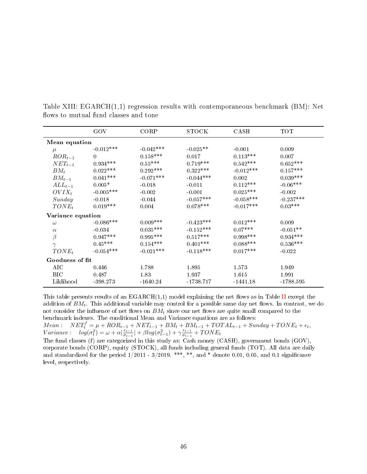|                   | GOV         | CORP        | STOCK       | CASH        | <b>TOT</b>  |  |  |
|-------------------|-------------|-------------|-------------|-------------|-------------|--|--|
| Mean equation     |             |             |             |             |             |  |  |
| $\mu$             | $-0.012***$ | $-0.042***$ | $-0.025**$  | $-0.001$    | 0.009       |  |  |
| $ROR_{t-1}$       | $\Omega$    | $0.158***$  | 0.017       | $0.113***$  | 0.007       |  |  |
| $NET_{t-1}$       | $0.934***$  | $0.55***$   | $0.719***$  | $0.542***$  | $0.652***$  |  |  |
| $BM_t$            | $0.022***$  | $0.292***$  | $0.322***$  | $-0.012***$ | $0.157***$  |  |  |
| $BM_{t-1}$        | $0.041***$  | $-0.071***$ | $-0.044***$ | 0.002       | $0.039***$  |  |  |
| $ALL_{t-1}$       | $0.005*$    | $-0.018$    | $-0.011$    | $0.112***$  | $-0.06***$  |  |  |
| $OVIX_t$          | $-0.005***$ | $-0.002$    | $-0.001$    | $0.025***$  | $-0.002$    |  |  |
| Sunday            | $-0.018$    | $-0.044$    | $-0.057***$ | $-0.058***$ | $-0.237***$ |  |  |
| $TONE_t$          | $0.019***$  | 0.004       | $0.078***$  | $-0.017***$ | $0.03***$   |  |  |
| Variance equation |             |             |             |             |             |  |  |
| $\omega$          | $-0.086***$ | $0.009***$  | $-0.423***$ | $0.012***$  | 0.009       |  |  |
| $\alpha$          | $-0.034$    | $0.035***$  | $-0.152***$ | $0.07***$   | $-0.051**$  |  |  |
| $\beta$           | $0.947***$  | $0.995***$  | $0.517***$  | $0.998***$  | $0.934***$  |  |  |
| $\gamma$          | $0.45***$   | $0.154***$  | $0.401***$  | $0.088***$  | $0.536***$  |  |  |
| $TONE_t$          | $-0.054***$ | $-0.021***$ | $-0.118***$ | $0.017***$  | $-0.022$    |  |  |
| Goodness of fit   |             |             |             |             |             |  |  |
| AIC               | 0.446       | 1.788       | 1.895       | 1.573       | 1.949       |  |  |
| BIC.              | 0.487       | 1.83        | 1.937       | 1.615       | 1.991       |  |  |
| Liklihood         | $-398.273$  | $-1640.24$  | $-1738.717$ | $-1441.18$  | -1788.595   |  |  |

<span id="page-45-0"></span>Table XIII: EGARCH(1,1) regression results with contemporaneous benchmark (BM): Net flows to mutual fund classes and tone

This table presents results of an  $EGARCH(1,1)$  model explaining the net flows as in Table [II](#page-34-0) except the addition of  $BM_t$ . This additional variable may control for a possible same day net flows. In contrast, we do not consider the influence of net flows on  $BM_t$  since our net flows are quite small compared to the benchmark indexes. The conditional Mean and Variance equations are as follows:

 $Mean:$   $NET_t^f = \mu + ROR_{t-1} + NET_{t-1} + BM_t + BM_{t-1} + TOTAL_{t-1} + Sunday + TONE_t + \epsilon_t,$ Variance:  $log(\sigma_t^2) = \omega + \alpha \vert \frac{\epsilon_{t-1}}{\sigma_{t-1}}$  $\frac{\epsilon_{t-1}}{\sigma_{t-1}}$  +  $\beta log(\sigma_{t-1}^2) + \gamma \frac{\epsilon_{t-1}}{\sigma_{t-1}}$  $\frac{\epsilon_{t-1}}{\sigma_{t-1}}+TONE_t$ 

The fund classes (f) are categorized in this study as: Cash money (CASH), government bonds (GOV), corporate bonds (CORP), equity (STOCK), all funds including general funds (TOT). All data are daily and standardized for the period  $1/2011 - 3/2019$ . \*\*\*, \*\*, and \* denote 0.01, 0.05, and 0.1 significance level, respectively.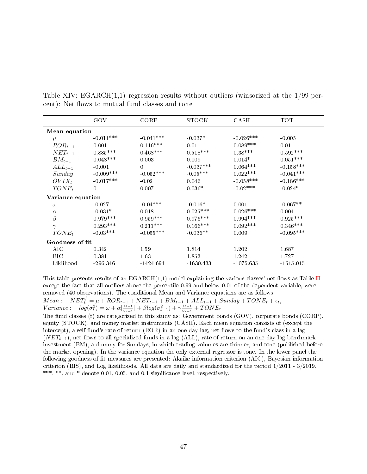|                   | GOV         | CORP        | STOCK       | CASH        | TOT         |  |
|-------------------|-------------|-------------|-------------|-------------|-------------|--|
| Mean equation     |             |             |             |             |             |  |
| $\mu$             | $-0.011***$ | $-0.041***$ | $-0.037*$   | $-0.026***$ | $-0.005$    |  |
| $ROR_{t-1}$       | 0.001       | $0.116***$  | 0.011       | $0.089***$  | 0.01        |  |
| $NET_{t-1}$       | $0.885***$  | $0.468***$  | $0.518***$  | $0.38***$   | $0.592***$  |  |
| $BM_{t-1}$        | $0.048***$  | 0.003       | 0.009       | $0.014*$    | $0.051***$  |  |
| $ALL_{t-1}$       | $-0.001$    | $\Omega$    | $-0.037***$ | $0.064***$  | $-0.158***$ |  |
| Sunday            | $-0.009***$ | $-0.052***$ | $-0.05***$  | $0.022***$  | $-0.041***$ |  |
| $OVIX_t$          | $-0.017***$ | $-0.02$     | 0.046       | $-0.058***$ | $-0.186***$ |  |
| $TONE_t$          | $\theta$    | 0.007       | $0.036*$    | $-0.02***$  | $-0.024*$   |  |
| Variance equation |             |             |             |             |             |  |
| $\omega$          | $-0.027$    | $-0.04***$  | $-0.016*$   | 0.001       | $-0.067**$  |  |
| $\alpha$          | $-0.031*$   | 0.018       | $0.025***$  | $0.026***$  | 0.004       |  |
| $\beta$           | $0.979***$  | $0.959***$  | $0.976***$  | $0.994***$  | $0.925***$  |  |
| $\gamma$          | $0.293***$  | $0.211***$  | $0.166***$  | $0.092***$  | $0.346***$  |  |
| $TONE_t$          | $-0.03***$  | $-0.055***$ | $-0.036**$  | 0.009       | $-0.095***$ |  |
| Goodness of fit   |             |             |             |             |             |  |
| AIC               | 0.342       | 1.59        | 1.814       | 1.202       | 1.687       |  |
| BIC               | 0.381       | 1.63        | 1.853       | 1.242       | 1.727       |  |
| Liklihood         | $-296.346$  | $-1424.694$ | $-1630.433$ | $-1075.635$ | $-1515.015$ |  |

<span id="page-46-0"></span>Table XIV:  $EGARCH(1,1)$  regression results without outliers (winsorized at the  $1/99$  percent): Net flows to mutual fund classes and tone

This table presents results of an  $EGARCH(1,1)$  model explaining the various classes' net flows as Table [II](#page-34-0) except the fact that all outliers above the percentile 0.99 and below 0.01 of the dependent variable, were removed (40 observations). The conditional Mean and Variance equations are as follows:

 $Mean:$   $NET_t^f = \mu + ROR_{t-1} + NET_{t-1} + BM_{t-1} + ALL_{t-1} + Sunday + TONE_t + \epsilon_t,$ Variance:  $log(\sigma_t^2) = \omega + \alpha \vert \frac{\epsilon_{t-1}}{\sigma_{t-1}}$  $\frac{\epsilon_{t-1}}{\sigma_{t-1}}$  +  $\beta log(\sigma_{t-1}^2) + \gamma \frac{\epsilon_{t-1}}{\sigma_{t-1}}$  $\frac{\epsilon_{t-1}}{\sigma_{t-1}}+TONE_t$ 

The fund classes (f) are categorized in this study as: Government bonds (GOV), corporate bonds (CORP), equity (STOCK), and money market instruments (CASH). Each mean equation consists of (except the intercept), a self fund's rate of return  $(ROR)$  in an one day lag, net flows to the fund's class in a lag  $(NET_{t-1})$ , net flows to all specialized funds in a lag (ALL), rate of return on an one day lag benchmark investment (BM), a dummy for Sundays, in which trading volumes are thinner, and tone (published before the market opening). In the variance equation the only external regressor is tone. In the lower panel the following goodness of fit measures are presented: Akaike information criterion (AIC), Bayesian information criterion (BIS), and Log likelihoods. All data are daily and standardized for the period 1/2011 - 3/2019. \*\*\*, \*\*, and \* denote 0.01, 0.05, and 0.1 significance level, respectively.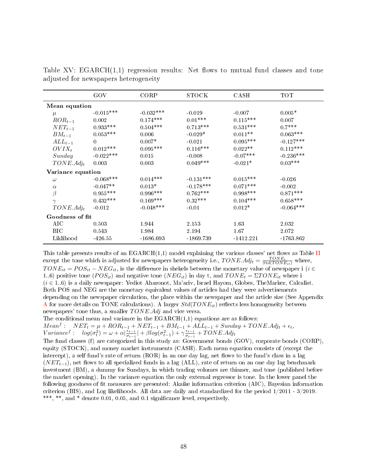|                   | GOV         | CORP        | STOCK       | CASH        | <b>TOT</b>  |  |
|-------------------|-------------|-------------|-------------|-------------|-------------|--|
| Mean equation     |             |             |             |             |             |  |
| $\mu$             | $-0.015***$ | $-0.032***$ | $-0.019$    | $-0.007$    | $0.005*$    |  |
| $ROR_{t-1}$       | 0.002       | $0.174***$  | $0.01***$   | $0.115***$  | 0.007       |  |
| $NET_{t-1}$       | $0.933***$  | $0.504***$  | $0.713***$  | $0.531***$  | $0.7***$    |  |
| $BM_{t-1}$        | $0.053***$  | 0.006       | $-0.029*$   | $0.011**$   | $0.063***$  |  |
| $ALL_{t-1}$       | $\Omega$    | $0.007*$    | $-0.021$    | $0.095***$  | $-0.127***$ |  |
| $OVIX_t$          | $0.012***$  | $0.095***$  | $0.116***$  | $0.022**$   | $0.112***$  |  |
| Sunday            | $-0.022***$ | 0.015       | $-0.008$    | $-0.07***$  | $-0.236***$ |  |
| $TONE.Adj_t$      | 0.003       | 0.003       | $0.049***$  | $-0.021*$   | $0.03***$   |  |
| Variance equation |             |             |             |             |             |  |
| $\omega$          | $-0.068***$ | $0.014***$  | $-0.131***$ | $0.015***$  | $-0.026$    |  |
| $\alpha$          | $-0.047**$  | $0.013*$    | $-0.178***$ | $0.071***$  | $-0.002$    |  |
| $\beta$           | $0.955***$  | $0.996***$  | $0.762***$  | $0.998***$  | $0.871***$  |  |
| $\gamma$          | $0.432***$  | $0.169***$  | $0.32***$   | $0.104***$  | $0.658***$  |  |
| $TONE.Adj_t$      | $-0.012$    | $-0.048***$ | $-0.01$     | $0.012*$    | $-0.064***$ |  |
| Goodness of fit   |             |             |             |             |             |  |
| AIC               | 0.503       | 1.944       | 2.153       | 1.63        | 2.032       |  |
| BIC.              | 0.543       | 1.984       | 2.194       | 1.67        | 2.072       |  |
| Liklihood         | -426 55     | $-1686.693$ | -1869.739   | $-1412.221$ | $-1763.862$ |  |

<span id="page-47-0"></span>Table XV:  $EGARCH(1,1)$  regression results: Net flows to mutual fund classes and tone adjusted for newspapers heterogeneity

This table presents results of an  $EGARCH(1,1)$  model explaining the various classes' net flows as Table [II](#page-34-0) except the tone which is adjusted for newspapers heterogeneity i.e.,  $TONE.Adj_t = \frac{TONE_t}{Std(TONE_{it})}$  where,  $TONE_{it} = POS_{it} - NEG_{it}$ , is the difference in shekels between the monetary value of newspaper i ( $i \in$ 1..6) positive tone  $(POS_{it})$  and negative tone  $(NEG_{it})$  in day t, and  $TONE_t = \Sigma TONE_{it}$  where i (i ∈ 1..6) is a daily newspaper: Yediot Aharonot, Ma'ariv, Israel Hayom, Globes, TheMarker, Calcalist. Both POS and NEG are the monetary equivalent values of articles had they were advertisements depending on the newspaper circulation, the place within the newspaper and the article size (See Appendix [A](#page-52-0) for more details on TONE calculations). A larger  $Std(TONE_{it})$  reflects less homogeneity between newspapers' tone thus, a smaller  $TONE. Adj$  and vice versa.

The conditional mean and variance in the  $EGARCH(1,1)$  equations are as follows:

 $Mean<sup>f</sup>: \quad NET_t = \mu + ROR_{t-1} + NET_{t-1} + BM_{t-1} + ALL_{t-1} + Sunday + TONE.Adj_t + \epsilon_t,$  $Variance^f: log(\sigma_t^2) = \omega + \alpha \vert \frac{\epsilon_{t-1}}{\sigma_{t-1}}$  $\frac{\epsilon_{t-1}}{\sigma_{t-1}}$  +  $\beta log(\sigma_{t-1}^2) + \gamma \frac{\epsilon_{t-1}}{\sigma_{t-1}}$  $\frac{\epsilon_{t-1}}{\sigma_{t-1}}$  + TONE.Adj<sub>t</sub>

The fund classes (f) are categorized in this study as: Government bonds (GOV), corporate bonds (CORP), equity (STOCK), and money market instruments (CASH). Each mean equation consists of (except the intercept), a self fund's rate of return  $(ROR)$  in an one day lag, net flows to the fund's class in a lag  $(NET_{t-1})$ , net flows to all specialized funds in a lag (ALL), rate of return on an one day lag benchmark investment (BM), a dummy for Sundays, in which trading volumes are thinner, and tone (published before the market opening). In the variance equation the only external regressor is tone. In the lower panel the following goodness of fit measures are presented: Akaike information criterion (AIC), Bayesian information criterion (BIS), and Log likelihoods. All data are daily and standardized for the period 1/2011 - 3/2019. \*\*\*, \*\*, and \* denote 0.01, 0.05, and 0.1 significance level, respectively.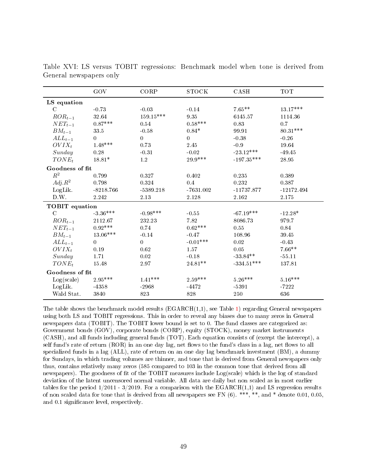|                 | GOV            | CORP        | <b>STOCK</b>   | CASH         | <b>TOT</b>   |  |
|-----------------|----------------|-------------|----------------|--------------|--------------|--|
| LS equation     |                |             |                |              |              |  |
| $\mathcal{C}$   | $-0.73$        | $-0.03$     | $-0.14$        | $7.65**$     | $13.17***$   |  |
| $ROR_{t-1}$     | 32.64          | $159.15***$ | 9.35           | 6145.57      | 1114.36      |  |
| $NET_{t-1}$     | $0.87***$      | 0.54        | $0.58***$      | 0.83         | 0.7          |  |
| $BM_{t-1}$      | 33.5           | $-0.58$     | $0.84*$        | 99.91        | 80.31***     |  |
| $ALL_{t-1}$     | $\Omega$       | $\Omega$    | $\overline{0}$ | $-0.38$      | $-0.26$      |  |
| $OVIX_t$        | $1.48***$      | 0.73        | 2.45           | $-0.9$       | 19.64        |  |
| Sunday          | 0.28           | $-0.31$     | $-0.02$        | $-23.12***$  | $-49.45$     |  |
| $TONE_t$        | $18.81*$       | 1.2         | $29.9***$      | $-197.35***$ | 28.95        |  |
| Goodness of fit |                |             |                |              |              |  |
| $R^2$           | 0.799          | 0.327       | 0.402          | 0.235        | 0.389        |  |
| $Adj.R^2$       | 0.798          | 0.324       | 0.4            | 0.232        | 0.387        |  |
| LogLik.         | $-8218.766$    | $-5389.218$ | $-7631.002$    | $-11737.877$ | $-12172.494$ |  |
| D.W.            | 2.242          | 2.13        | 2.128          | 2.162        | 2.175        |  |
| TOBIT equation  |                |             |                |              |              |  |
| $\mathcal{C}$   | $-3.36***$     | $-0.98***$  | $-0.55$        | $-67.19***$  | $-12.28*$    |  |
| $ROR_{t-1}$     | 2112.67        | 232.23      | 7.82           | 8086.73      | 979.7        |  |
| $NET_{t-1}$     | $0.92***$      | 0.74        | $0.62***$      | 0.55         | 0.84         |  |
| $BM_{t-1}$      | 13.06***       | $-0.14$     | $-0.47$        | 108.96       | 39.45        |  |
| $ALL_{t-1}$     | $\overline{0}$ | $\Omega$    | $-0.01***$     | 0.02         | $-0.43$      |  |
| $OVIX_t$        | 0.19           | 0.62        | 1.57           | 0.05         | $7.66**$     |  |
| Sunday          | 1.71           | 0.02        | $-0.18$        | $-33.84**$   | $-55.11$     |  |
| $TONE_t$        | 15.48          | 2.97        | 24.81**        | $-334.51***$ | 137.81       |  |
| Goodness of fit |                |             |                |              |              |  |
| Log(scale)      | $2.95***$      | $1.41***$   | $2.59***$      | $5.26***$    | $5.16***$    |  |
| LogLik.         | $-4358$        | $-2968$     | -4472          | $-5391$      | $-7222$      |  |
| Wald Stat.      | 3840           | 823         | 828            | 250          | 636          |  |

<span id="page-48-0"></span>Table XVI: LS versus TOBIT regressions: Benchmark model when tone is derived from General newspapers only

The table shows the benchmark model results  $(EGARCH(1,1))$  $(EGARCH(1,1))$  $(EGARCH(1,1))$ , see Table 1) regarding General newspapers using both LS and TOBIT regressions. This in order to reveal any biases due to many zeros in General newspapers data (TOBIT). The TOBIT lower bound is set to 0. The fund classes are categorized as: Government bonds (GOV), corporate bonds (CORP), equity (STOCK), money market instruments (CASH), and all funds including general funds (TOT). Each equation consists of (except the intercept), a self fund's rate of return (ROR) in an one day lag, net flows to the fund's class in a lag, net flows to all specialized funds in a lag (ALL), rate of return on an one day lag benchmark investment (BM), a dummy for Sundays, in which trading volumes are thinner, and tone that is derived from General newspapers only thus, contains relatively many zeros (585 compared to 103 in the common tone that derived from all newspapers). The goodness of fit of the TOBIT measures include Log(scale) which is the log of standard deviation of the latent uncensored normal variable. All data are daily but non scaled as in most earlier tables for the period  $1/2011$  -  $3/2019$ . For a comparison with the EGARCH $(1,1)$  and LS regression results of non scaled data for tone that is derived from all newspapers see FN (6). \*\*\*, \*\*, and \* denote 0.01, 0.05, and 0.1 signicance level, respectively.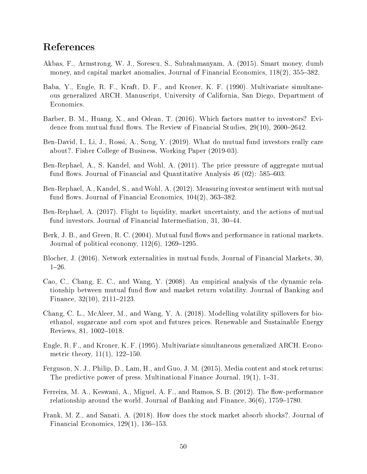# References

- <span id="page-49-0"></span>Akbas, F., Armstrong, W. J., Sorescu, S., Subrahmanyam, A. (2015). Smart money, dumb money, and capital market anomalies, Journal of Financial Economics, 118(2), 355–382.
- <span id="page-49-12"></span>Baba, Y., Engle, R. F., Kraft, D. F., and Kroner, K. F. (1990). Multivariate simultaneous generalized ARCH. Manuscript, University of California, San Diego, Department of Economics.
- <span id="page-49-7"></span>Barber, B. M., Huang, X., and Odean, T. (2016). Which factors matter to investors? Evidence from mutual fund flows. The Review of Financial Studies,  $29(10)$ ,  $2600-2642$ .
- <span id="page-49-14"></span>Ben-David, I., Li, J., Rossi, A., Song, Y. (2019). What do mutual fund investors really care about?. Fisher College of Business, Working Paper (2019-03).
- <span id="page-49-1"></span>Ben-Rephael, A., S. Kandel, and Wohl, A. (2011). The price pressure of aggregate mutual fund flows. Journal of Financial and Quantitative Analysis  $46$  (02):  $585-603$ .
- <span id="page-49-6"></span>Ben-Rephael, A., Kandel, S., and Wohl, A. (2012). Measuring investor sentiment with mutual fund flows. Journal of Financial Economics,  $104(2)$ ,  $363-382$ .
- <span id="page-49-10"></span>Ben-Rephael, A. (2017). Flight to liquidity, market uncertainty, and the actions of mutual fund investors. Journal of Financial Intermediation, 31, 30–44.
- <span id="page-49-4"></span>Berk, J. B., and Green, R. C. (2004). Mutual fund flows and performance in rational markets. Journal of political economy,  $112(6)$ ,  $1269-1295$ .
- <span id="page-49-11"></span>Blocher, J. (2016). Network externalities in mutual funds, Journal of Financial Markets, 30,  $1-26$ .
- <span id="page-49-5"></span>Cao, C., Chang, E. C., and Wang, Y. (2008). An empirical analysis of the dynamic relationship between mutual fund flow and market return volatility. Journal of Banking and Finance,  $32(10)$ ,  $2111-2123$ .
- <span id="page-49-13"></span>Chang, C. L., McAleer, M., and Wang, Y. A. (2018). Modelling volatility spillovers for bioethanol, sugarcane and corn spot and futures prices. Renewable and Sustainable Energy Reviews, 81, 1002-1018.
- <span id="page-49-9"></span>Engle, R. F., and Kroner, K. F. (1995). Multivariate simultaneous generalized ARCH. Econometric theory,  $11(1)$ ,  $122-150$ .
- <span id="page-49-2"></span>Ferguson, N. J., Philip, D., Lam, H., and Guo, J. M. (2015). Media content and stock returns: The predictive power of press. Multinational Finance Journal,  $19(1)$ ,  $1-31$ .
- <span id="page-49-8"></span>Ferreira, M. A., Keswani, A., Miguel, A. F., and Ramos, S. B.  $(2012)$ . The flow-performance relationship around the world. Journal of Banking and Finance,  $36(6)$ ,  $1759-1780$ .
- <span id="page-49-3"></span>Frank, M. Z., and Sanati, A. (2018). How does the stock market absorb shocks?. Journal of Financial Economics,  $129(1)$ ,  $136-153$ .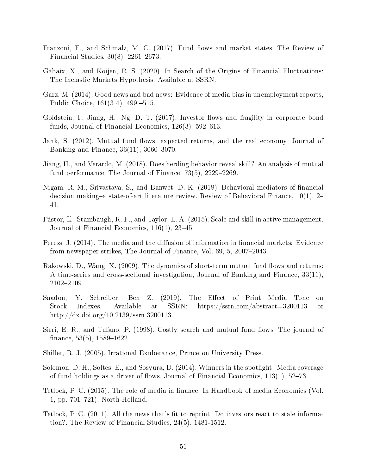- <span id="page-50-9"></span>Franzoni, F., and Schmalz, M. C. (2017). Fund flows and market states. The Review of Financial Studies,  $30(8)$ ,  $2261-2673$ .
- <span id="page-50-13"></span>Gabaix, X., and Koijen, R. S. (2020). In Search of the Origins of Financial Fluctuations: The Inelastic Markets Hypothesis. Available at SSRN.
- <span id="page-50-14"></span>Garz, M. (2014). Good news and bad news: Evidence of media bias in unemployment reports, Public Choice, 161(3-4), 499–515.
- <span id="page-50-8"></span>Goldstein, I., Jiang, H., Ng, D. T.  $(2017)$ . Investor flows and fragility in corporate bond funds, Journal of Financial Economics,  $126(3)$ ,  $592-613$ .
- <span id="page-50-11"></span>Jank, S. (2012). Mutual fund flows, expected returns, and the real economy. Journal of Banking and Finance,  $36(11)$ ,  $3060-3070$ .
- <span id="page-50-4"></span>Jiang, H., and Verardo, M. (2018). Does herding behavior reveal skill? An analysis of mutual fund performance. The Journal of Finance,  $73(5)$ ,  $2229-2269$ .
- <span id="page-50-10"></span>Nigam, R. M., Srivastava, S., and Banwet, D. K. (2018). Behavioral mediators of nancial decision making-a state-of-art literature review. Review of Behavioral Finance,  $10(1)$ , 2-41.
- Pástor, L., Stambaugh, R. F., and Taylor, L. A. (2015). Scale and skill in active management. Journal of Financial Economics,  $116(1)$ ,  $23-45$ .
- <span id="page-50-0"></span>Peress, J. (2014). The media and the diffusion of information in financial markets: Evidence from newspaper strikes, The Journal of Finance, Vol. 69, 5, 2007–2043.
- <span id="page-50-7"></span>Rakowski, D., Wang, X.  $(2009)$ . The dynamics of short-term mutual fund flows and returns: A time-series and cross-sectional investigation, Journal of Banking and Finance, 33(11), 2102-2109.
- <span id="page-50-12"></span>Saadon, Y. Schreiber, Ben Z. (2019). The Effect of Print Media Tone on Stock Indexes, Available at SSRN: https://ssrn.com/abstract=3200113 or http://dx.doi.org/10.2139/ssrn.3200113
- <span id="page-50-6"></span>Sirri, E. R., and Tufano, P. (1998). Costly search and mutual fund flows. The journal of finance,  $53(5)$ ,  $1589-1622$ .
- <span id="page-50-1"></span>Shiller, R. J. (2005). Irrational Exuberance, Princeton University Press.
- <span id="page-50-3"></span>Solomon, D. H., Soltes, E., and Sosyura, D. (2014). Winners in the spotlight: Media coverage of fund holdings as a driver of flows. Journal of Financial Economics,  $113(1)$ ,  $52-73$ .
- <span id="page-50-5"></span>Tetlock, P. C. (2015). The role of media in finance. In Handbook of media Economics (Vol. 1, pp.  $701-721$ ). North-Holland.
- <span id="page-50-2"></span>Tetlock, P. C.  $(2011)$ . All the news that's fit to reprint: Do investors react to stale information?. The Review of Financial Studies, 24(5), 1481-1512.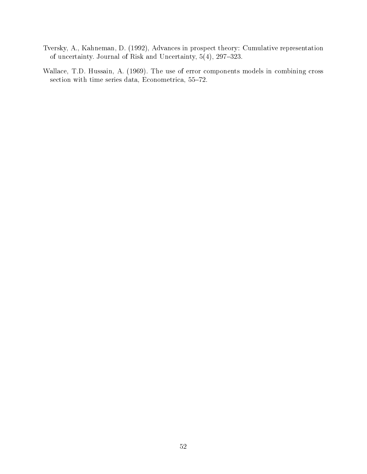- <span id="page-51-0"></span>Tversky, A., Kahneman, D. (1992), Advances in prospect theory: Cumulative representation of uncertainty. Journal of Risk and Uncertainty,  $5(4)$ ,  $297-323$ .
- Wallace, T.D. Hussain, A. (1969). The use of error components models in combining cross section with time series data, Econometrica,  $55-72$ .